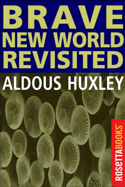### BRAVE **NEW WORLD** REVISITED ALDOUS HUXLEY

# **MILBSO**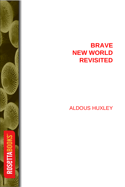### **BRAVE NEW WORLD REVISITED**

ALDOUS HUXLEY

**ROSETTABO**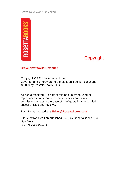**OSETTABOOKS** 



### **Brave New World Revisited**

Copyright © 1958 by Aldous Huxley Cover art and eForeword to the electronic edition copyright © 2000 by RosettaBooks, LLC

All rights reserved. No part of this book may be used or reproduced in any manner whatsoever without written permission except in the case of brief quotations embodied in critical articles and reviews.

For information address **Editor@RosettaBooks.com** 

First electronic edition published 2000 by RosettaBooks LLC, New York. ISBN 0-7953-0012-3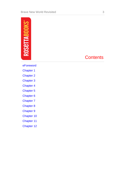| <b>Brave New World Revisited</b> |  |
|----------------------------------|--|
|----------------------------------|--|

| ROSETTABOOK       |                 |
|-------------------|-----------------|
|                   | <b>Contents</b> |
| eForeword         |                 |
| <b>Chapter 1</b>  |                 |
| <b>Chapter 2</b>  |                 |
| <b>Chapter 3</b>  |                 |
| <b>Chapter 4</b>  |                 |
| <b>Chapter 5</b>  |                 |
| <b>Chapter 6</b>  |                 |
| <b>Chapter 7</b>  |                 |
| <b>Chapter 8</b>  |                 |
| <b>Chapter 9</b>  |                 |
| Chapter 10        |                 |
| Chapter 11        |                 |
| <b>Chapter 12</b> |                 |

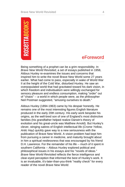**NALL3SO!** 

### eForeword

Being something of a prophet can be a grim responsibility. In *Brave New World Revisited*, a set of essays published in 1958, Aldous Huxley re-examines the issues and concerns that inspired him to write the novel Brave New World some 27 years earlier. What had come to pass, especially in wake of World War II at the height of the Cold War, disturbed Huxley. He saw an overpopulated world that had gravitated toward his dark vision, in which freedom and individualism were willingly exchanged for sensory pleasure and endless consumption, making "order" out of "chaos" -- a world in which people were, as the philosopher Neil Postman suggested, "amusing ourselves to death."

Aldous Huxley (1894-1963) came by his despair honestly. He remains one of the most interesting figures English literature produced in the early 20th century. His early work bespoke his origins, as the well-bred son of one of England's most distinctive families (his grandfather helped realize Darwin's theory of evolution and his great-uncle was Matthew Arnold). But Huxley's clever, stinging satires of English intellectual life (*Crome Yellow, Antic Hay*) quickly gave way to a new seriousness with the publication of Brave New World. A vision problem had kept him from pursuing a career in medicine, and maturity brought about in him a spiritual restlessness that was encouraged by his friend D.H. Lawrence. For the remainder of his life -- much of it spent in southern California -- Aldous Huxley explored political and philosophical issues in his essays and his "novels of ideas." *Brave New World Revisited* reflects the fierce intelligence and clear-eyed perception that informed the best of Huxley's work. It is an invaluable, it's-later-than-you-think "reality check" for every reader of the novel *Brave New World*.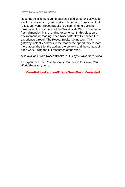RosettaBooks is the leading publisher dedicated exclusively to electronic editions of great works of fiction and non-fiction that reflect our world. RosettaBooks is a committed e-publisher, maximizing the resources of the World Wide Web in opening a fresh dimension in the reading experience. In this electronic environment for reading, each RosettaBook will enhance the experience through The RosettaBooks Connection. This gateway instantly delivers to the reader the opportunity to learn more about the title, the author, the content and the context of each work, using the full resources of the Web.

Also available from RosettaBooks is Huxley's *Brave New World*.

To experience The RosettaBooks Connection for *Brave New World Revisited*, go to:

### **RosettaBooks.com/BraveNewWorldRevisited**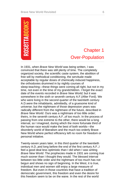## **198113SO:**

### Chapter 1 Over-Population

In 1931, when *Brave New World* was being written, I was convinced that there was still plenty of time. The completely organized society, the scientific caste system, the abolition of free will by methodical conditioning, the servitude made acceptable by regular doses of chemically induced happiness, the orthodoxies drummed in by nightly courses of sleep-teaching—these things were coming all right, but not in my time, not even in the time of my grandchildren. I forget the exact date of the events recorded in *Brave New World;* but it was somewhere in the sixth or seventh century A.F.(After Ford). We who were living in the second quarter of the twentieth century A.D.were the inhabitants, admittedly, of a gruesome kind of universe; but the nightmare of those depression years was radically different from the nightmare of the future, described in *Brave New World*. Ours was a nightmare of too little order; theirs, in the seventh century A.F.,of too much. In the process of passing from one extreme to the other, there would be a long interval, so I imagined, during which the more fortunate third of the human race would make the best of both worlds—the disorderly world of liberalism and the much too orderly Brave New World where perfect efficiency left no room for freedom or personal initiative.

Twenty-seven years later, in this third quarter of the twentieth century A.D.,and long before the end of the first century A.F.,I feel a good deal less optimistic than I did when I was writing *Brave New World*. The prophecies made in 1931 are coming true much sooner than I thought they would. The blessed interval between too little order and the nightmare of too much has not begun and shows no sign of beginning. In the West, it is true, individual men and women still enjoy a large measure of freedom. But even in those countries that have a tradition of democratic government, this freedom and even the desire for this freedom seem to be on the wane. In the rest of the world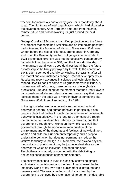freedom for individuals has already gone, or is manifestly about to go. The nightmare of total organization, which I had situated in the seventh century After Ford, has emerged from the safe, remote future and is now awaiting us, just around the next corner.

George Orwell's 1984 was a magnified projection into the future of a present that contained Stalinism and an immediate past that had witnessed the flowering of Nazism. *Brave New World* was written before the rise of Hitler to supreme power in Germany and when the Russian tyrant had not yet got into his stride. In 1931 systematic terrorism was not the obsessive contemporary fact which it had become in l948, and the future dictatorship of my imaginary world was a good deal less brutal than the future dictatorship so brilliantly portrayed by Orwell. In the context of 1948, 1984 seemed dreadfully convincing. But tyrants, after all, are mortal and circumstances change. Recent developments in Russia and recent advances in science and technology have robbed Orwell's book of some of its gruesome verisimilitude. A nuclear war will, of course, make nonsense of everybody's predictions. But, assuming for the moment that the Great Powers can somehow refrain from destroying us, we can say that it now looks as though the odds were more in favor of something like *Brave New World* than of something like 1984.

In the light of what we have recently learned about animal behavior in general, and human behavior in particular, it has become clear that control through the punishment of undesirable behavior is less effective, in the long run, than control through the reinforcement of desirable behavior by rewards, and that government through terror works on the whole less well than government through the non-violent manipulation of the environment and of the thoughts and feelings of individual men, women and children. Punishment temporarily puts a stop to undesirable behavior, but does not permanently reduce the victim's tendency to indulge in it. Moreover, the psycho-physical by-products of punishment may be just as undesirable as the behavior for which an individual has been punished Psychotherapy is largely concerned with the debilitating or anti-social consequences of past punishments.

The society described in 1984 is a society controlled almost exclusively by punishment and the fear of punishment. In the imaginary world of my own fable punishment is infrequent and generally mild. The nearly perfect control exercised by the government is achieved by systematic reinforcement of desirable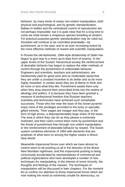behavior, by many kinds of nearly non-violent manipulation, both physical and psychological, and by genetic standardization. Babies in bottles and the centralized control of reproduction are not perhaps impossible; but it is quite clear that for a long time to come we shall remain a viviparous species breeding at random. For practical purposes genetic standardization may be ruled out. Societies will continue to be controlled postnatally—by punishment, as in the past, and to an ever increasing extent by the more effective methods of reward and scientific manipulation.

In Russia the old-fashioned, 1984-style dictatorship of Stalin has begun to give way to a more up-to-date form of tyranny. In the upper levels of the Soviets' hierarchical society the reinforcement of desirable behavior has begun to replace the older methods of control through the punishment of undesirable behavior. Engineers and scientists, teachers and administrators, are handsomely paid for good work and so moderately taxed that they are under a constant incentive to do better and so be more highly rewarded. In certain areas they are at liberty to think and do more or less what they like. Punishment awaits them only when they stray beyond their prescribed limits into the realms of ideology and politics. It is because they have been granted a measure of professional freedom that Russian teachers, scientists and technicians have achieved such remarkable successes. Those who live near the base of the Soviet pyramid enjoy none of the privileges accorded to the lucky or specially gifted minority. Their wages are meager and they pay, in the form of high prices, a disproportionately large share of the taxes. The area in which they can do as they please is extremely restricted, and their rulers control them more by punishment and the threat of punishment than through non-violent manipulation or the reinforcement of desirable behavior by reward. The Soviet system combines elements of 1984 with elements that are prophetic of what went on among the higher castes in *Brave New World*.

Meanwhile impersonal forces over which we have almost no control seem to be pushing us all in the direction of the Brave New Worldian nightmare; and this impersonal pushing is being consciously accelerated by representatives of commercial and political organizations who have developed a number of new techniques for manipulating, in the interest of some minority, the thoughts and feelings of the masses. The techniques of manipulation will be discussed in later chapters. For the moment let us confine our attention to those impersonal forces which are now making the world so extremely unsafe for democracy, so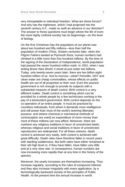very inhospitable to individual freedom. What are these forces? And why has the nightmare, which I had projected into the seventh century A.F., made so swift an advance in our direction? The answer to these questions must begin where the life of even the most highly civilized society has its beginnings—on the level of biology.

On the first Christmas Day the population of our planet was about two hundred and fifty millions—less than half the population of modern China. Sixteen centuries later, when the Pilgrim Fathers landed at Plymouth Rock, human numbers had climbed to a little more than five hundred millions. By the time of the signing of the Declaration of Independence, world population had passed the seven hundred million mark. In 1931, when I was writing *Brave New World*, it stood at just under two billions. Today, only twenty-seven years later, there are two billion eight hundred million of us. And to-morrow—what? Penicillin, DDT and clean water are cheap commodities, whose effects on public health are out of all proportion to their cost. Even the poorest government is rich enough to provide its subjects with a substantial measure of death control. Birth control is a very different matter. Death control is something which can be provided for a whole people by a few technicians working in the pay of a benevolent government. Birth control depends on the co-operation of an entire people. It must be practiced by countless individuals, from whom it demands more intelligence and will power than most of the world's teeming illiterates possess, and (where chemical or mechanical methods of contraception are used) an expenditure of more money than most of these millions can now afford. Moreover, there are nowhere any religious traditions in favor of unrestricted death, whereas religious and social traditions in favor of unrestricted reproduction are widespread. For all these reasons, death control is achieved very easily, birth control is achieved with great difficulty. Death rates have therefore fallen in recent years with startling suddenness. But birth rates have either remained at their old high level or, if they have fallen, have fallen very little and at a very slow rate. In consequence, human numbers are now increasing more rapidly than at any time in the history of the species.

Moreover, the yearly increases are themselves increasing. They increase regularly, according to the rules of compound interest; and they also increase irregularly with every application, by a technologically backward society of the principles of Public Health. At the present time the annual increase in world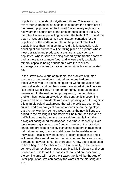population runs to about forty-three millions. This means that every four years mankind adds to its numbers the equivalent of the present population of the United States, every eight and a half years the equivalent of the present population of India. At the rate of increase prevailing between the birth of Christ and the death of Queen Elizabeth I, it took sixteen centuries for the population of the earth to double. At the present rate it will double in less than half a century. And this fantastically rapid doubling of our numbers will be taking place on a planet whose most desirable and productive areas are already densely populated, whose soils are being eroded by the frantic efforts of bad farmers to raise more food, and whose easily available mineral capital is being squandered with the reckless extravagance of a drunken sailor getting rid of his accumulated pay.

In the Brave New World of my fable, the problem of human numbers in their relation to natural resources had been effectively solved. An optimum figure for world population had been calculated and numbers were maintained at this figure (a little under two billions, if I remember rightly) generation after generation. In the real contemporary world, the population problem has not been solved. On the contrary it is becoming graver and more formidable with every passing year. It is against this grim biological background that all the political, economic, cultural and psychological dramas of our time are being played out. As the twentieth century wears on, as the new billions are added to the existing billions (there will be more than five and a half billions of us by the time my granddaughter is fifty), this biological background will advance, ever more insistently, ever more menacingly, toward the front and center of the historical stage. The problem of rapidly increasing numbers in relation to natural resources, to social stability and to the well-being of individuals—this is now the central problem of mankind; and it will remain the central problem certainly for another century, and perhaps for several centuries thereafter. A new age is supposed to have begun on October 4, 1957. But actually, in the present context, all our exuberant post-Sputnik talk is irrelevant and even nonsensical. So far as the masses of mankind are concerned, the coming time will not be the Space Age; it will be the Age of Over-population. We can parody the words of the old song and ask,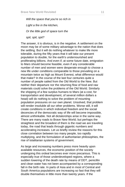*Will the space that you're so rich in Light a fire in the kitchen, Or the little god of space turn the spit, spit, spit?*

The answer, it is obvious, is in the negative. A settlement on the moon may be of some military advantage to the nation that does the settling. But it will do nothing whatever to make life more tolerable, during the fifty years that it will take our present population to double, for the earth's undernourished and proliferating billions. And even if, at some future date, emigration to Mars should become feasible, even if any considerable number of men and women were desperate enough to choose a new life under conditions comparable to those prevailing on a mountain twice as high as Mount Everest, what difference would that make? In the course of the last four centuries quite a number of people sailed from the Old World to the New. But neither their departure nor the returning flow of food and raw materials could solve the problems of the Old World. Similarly the shipping of a few surplus humans to Mars (at a cost, for transportation and development, of several million dollars a head) will do nothing to solve the problem of mounting population pressures on our own planet. Unsolved, that problem will render insoluble all our other problems. Worse still, it will create conditions in which individual freedom and the social decencies of the democratic way of life will become impossible, almost unthinkable. Not all dictatorships arise in the same way. There are many roads to Brave New World; but perhaps the straightest and the broadest of them is the road we are traveling today, the road that leads through gigantic numbers and accelerating increases. Let us briefly review the reasons for this close correlation between too many people, too rapidly multiplying, and the formulation of authoritarian philosophies, the rise of totalitarian systems of government.

As large and increasing numbers press more heavily upon available resources, the economic position of the society undergoing this ordeal becomes ever more precarious. This is especially true of those underdeveloped regions, where a sudden lowering of the death rate by means of DDT, penicillin and clean water has not been accompanied by a corresponding fall in the birth rate. In parts of Asia and in most of Central and South America populations are increasing so fast that they will double themselves in little more than twenty years. If the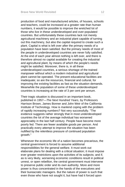production of food and manufactured articles, of houses, schools and teachers, could be increased at a greater rate than human numbers, it would be possible to improve the wretched lot of those who live in these underdeveloped and over-populated countries. But unfortunately these countries lack not merely agricultural machinery and an industrial plant capable of turning out this machinery, but also the capital required to create such a plant. Capital is what is left over after the primary needs of a population have been satisfied. But the primary needs of most of the people in underdeveloped countries are never fully satisfied. At the end of each year almost nothing is left over, and there is therefore almost no capital available for creating the industrial and agricultural plant, by means of which the people's needs might be satisfied. Moreover, there is, in all these underdeveloped countries, a serious shortage of the trained manpower without which a modern industrial and agricultural plant cannot be operated. The present educational facilities are inadequate; so are the resources, financial and cultural, for improving the existing facilities as fast as the situation demands. Meanwhile the population of some of these underdeveloped countries is increasing at the rate of 3 per cent per annum.

Their tragic situation is discussed in an important book, published in 1957—*The Next Hundred Years*, by Professors Harrison Brown, James Bonner and John Weir of the California Institute of Technology. How is mankind coping with the problem of rapidly increasing numbers? Not very successfully. "The evidence suggests rather strongly that in most underdeveloped countries the lot of the average individual has worsened appreciably in the last half century. People have become more poorly fed. There are fewer available goods per person. And practically every attempt to improve the situation has been nullified by the relentless pressure of continued population growth."

Whenever the economic life of a nation becomes precarious, the central government is forced to assume additional responsibilities for the general welfare. It must work out elaborate plans for dealing with a critical situation; it must impose ever greater restrictions upon the activities of its subjects; and if, as is very likely, worsening economic conditions result in political unrest, or open rebellion, the central government must intervene to preserve public order and its own authority. More and more power is thus concentrated in the hands of the executives and their bureacratic managers. But the nature of power is such that even those who have not sought it, but have had it forced upon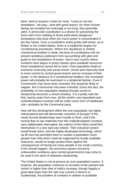them, tend to acquire a taste for more. "Lead us not into temptation," we pray—and with good reason; for when human beings are tempted too enticingly or too long, they generally yield. A democratic constitution is a device for preventing the local rulers from yielding to those particularly dangerous temptations that arise when too much power is concentrated in too few hands. Such a constitution works pretty well where, as in Britain or the United States, there is a traditional respect for constitutional procedures. Where the republican or limited monarchical tradition is weak, the best of constitutions will not prevent ambitious politicians from succumbing with glee and gusto to the temptations of power. And in any country where numbers have begun to press heavily upon available resources, these temptations cannot fail to arise. Over-population leads to economic insecurity and social unrest. Unrest and insecurity lead to more control by central governments and an increase of their power. In the absence of a constitutional tradition, this increased power will probably be exercised in a dictatorial fashion. Even if Communism had never been invented, this would be likely to happen. But Communism has been invented. Given this fact, the probability of over-population leading through unrest to dictatorship becomes a virtual certainty. It is a pretty safe bet that, twenty years from now, all the world's over-populated and underdeveloped countries will be under some form of totalitarian rule—probably by the Communist party.

How will this development affect the over-populated, but highly industrialized and still democratic countries of Europe? If the newly formed dictatorships were hostile to them, and if the normal flow of raw materials from the underdeveloped countries were deliberately interrupted, the nations of the West would find themselves in a very bad way indeed. Their industrial system would break down, and the highly developed technology, which up till now has permitted them to sustain a population much greater than that which could be supported by locally available resources, would no longer protect them against the consequences of having too many people in too small a territory. If this should happen, the enormous powers forced by unfavorable conditions upon central governments may come to be used in the spirit of totatarian dictatorship.

The United States is not at present an over-populated country. If, however, the population continues to increase at the present rate (which is higher than that of India's increase, though happily a good deal lower than the rate now current in Mexico or Guatemala), the problem of numbers in relation to available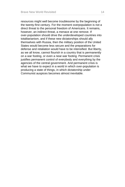resources might well become troublesome by the beginning of the twenty-first century. For the moment overpopulation is not a direct threat to the personal freedom of Americans. It remains, however, an indirect threat, a menace at one remove. If over-population should drive the underdeveloped countries into totalitarianism, and if these new dictatorships should ally themselves with Russia, then the military position of the United States would become less secure and the preparations for defense and retaliation would have to be intensified. But liberty, as we all know, cannot flourish in a country that is permanently on a war footing, or even a near-war footing. Permanent crisis justifies permanent control of everybody and everything by the agencies of the central government. And permanent crisis is what we have to expect in a world in which over-population is producing a state of things, in which dictatorship under Communist auspices becomes almost inevitable.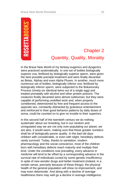### **0SetTAB00**

### Chapter 2 Quantity, Quality, Morality

In the Brave New World of my fantasy eugenics and dysgenics were practiced systematically. In one set of bottles biologically superior ova, fertilized by biologically superior sperm, were given the best possible prenatal treatment and were finally decanted as Betas, Alphas and even Alpha Pluses. In another, much more numerous set of bottles, biologically inferior ova, fertilized by biologically inferior sperm, were subjected to the Bokanovsky Process (ninety-six identical twins out of a single egg) and treated prenatally with alcohol and other protein poisons. The creatures finally decanted were almost subhuman; but they were capable of performing unskilled work and, when properly conditioned, detensioned by free and frequent access to the opposite sex, constantly distracted by gratuitous entertainment and reinforced in their good behavior patterns by daily doses of soma, could be counted on to give no trouble to their superiors.

In this second half of the twentieth century we do nothing systematic about our breeding; but in our random and unregulated way we are not only over-populating our planet, we are also, it would seem, making sure that these greater numbers shall be of biologically poorer quality. In the bad old days children with considerable, or even with slight, hereditary defects rarely survived. Today, thanks to sanitation, modern pharmacology and the social conscience, most of the children born with hereditary defects reach maturity and multiply their kind. Under the conditions now prevailing, every advance in medicine will tend to be offset by a corresponding advance in the survival rate of individuals cursed by some genetic insufficiency. In spite of new wonder drugs and better treatment (indeed, in a certain sense, precisely because of these things), the physical health of the general population will show no improvement, and may even deteriorate. And along with a decline of average healthiness there may well go a decline in average intelligence.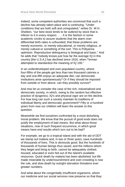Indeed, some competent authorities are convinced that such a decline has already taken place and is continuing. "Under conditions that are both soft and unregulated," writes Dr. W.H. Sheldon, "our best stock tends to be outbred by stock that is inferior to it in every respect. . . . It is the fashion in some academic circles to assure students that the alarm over differential birth-rates is unfounded; that these problems are merely economic, or merely educational, or merely religious, or merely cultural or something of the sort. This is Pollyanna optimism. Reproductive delinquency is biological and basic." And he adds that "nobody knows just how far the average IQ in this country [the U.S.A.] has declined since 1916, when Terman attempted to standardize the meaning of IQ 100."

In an underdeveloped and over-populated country, where four-fifths of the people get less than two thousand calories a day and one-fifth enjoys an adequate diet, can democratic institutions arise spontaneously? Or if they should be imposed from outside or from above, can they possibly survive?

And now let us consider the case of the rich, industrialized and democratic society, in which, owing to the random but effective practice of dysgenics, IQ's and physical vigor are on the decline. For how long can such a society maintain its traditions of individual liberty and democratic government? Fifty or a hundred years from now our children will learn the answer to this question.

Meanwhile we find ourselves confronted by a most disturbing moral problem. We know that the pursuit of good ends does not justify the employment of bad means. But what about those situations, now of such frequent occurrence, in which good means have end results which turn out to be bad?

For example, we go to a tropical island and with the aid of DDT we stamp out malaria and, in two or three years, save hundreds of thousands of lives. This is obviously good. But the hundreds of thousands of human beings thus saved, and the millions whom they beget and bring to birth, cannot be adequately clothed, housed, educated or even fed out of the island's available resources. Quick death by malaria has been abolished; but life made miserable by undernourishment and over-crowding is now the rule, and slow death by outright starvation threatens ever greater numbers.

And what about the congenitally insufficient organisms, whom our medicine and our social services now preserve so that they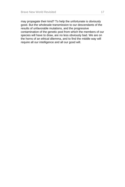may propagate their kind? To help the unfortunate is obviously good. But the wholesale transmission to our descendants of the results of unfavorable mutations, and the progressive contamination of the genetic pool from which the members of our species will have to draw, are no less obviously bad. We are on the horns of an ethical dilemma, and to find the middle way will require all our intelligence and all our good will.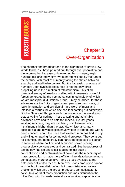## **!OSETTABO**

### Chapter 3 Over-Organization

The shortest and broadest road to the nightmare of Brave New World leads, as I have pointed out, through over-population and the accelerating increase of human numbers—twenty-eight hundred millions today, fifty-five hundred millions by the turn of the century, with most of humanity facing the choice between anarchy and totalitarian control. But the increasing pressure of numbers upon available resources is not the only force propelling us in the direction of totalitarianism. This blind biological enemy of freedom is allied with immensely powerful forces generated by the very advances in technology of which we are most proud. Justifiably proud, it may be added; for these advances are the fruits of genius and persistent hard work, of logic, imagination and self-denial—in a word, of moral and intellectual virtues for which one can feel nothing but admiration. But the Nature of Things is such that nobody in this world ever gets anything for nothing. These amazing and admirable advances have had to be paid for. Indeed, like last year's washing machine, they are still being paid for—and each installment is higher than the last. Many historians, many sociologists and psychologists have written at length, and with a deep concern, about the price that Western man has had to pay and will go on paying for technological progress. They point out, for example, that democracy can hardly be expected to flourish in societies where political and economic power is being progressively concentrated and centralized. But the progress of technology has led and is still leading to just such a concentration and centralization of power. As the machinery of mass production is made more efficient it tends to become more complex and more expensive—and so less available to the enterpriser of limited means. Moreover, mass production cannot work without mass distribution; but mass distribution raises problems which only the largest producers can satisfactorily solve. In a world of mass production and mas distribution the Little Man, with his inadequate stock of working capital, is at a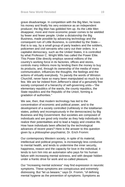grave disadvantage. In competition with the Big Man, he loses his money and finally his very existence as an independent producer; the Big Man has gobbled him up. As the Little Men disappear, more and more economic power comes to be wielded by fewer and fewer people. Under a dictatorship the Big Business, made possible by advancing technology and the consequent ruin of Little Business, is controlled by the State that is to say, by a small group of party leaders and the soldiers, policemen and civil servants who carry out their orders. In a capitalist democracy, such as the United States, it is controlled by what Professor C. Wright Mills has called the Power Elite. This Power Elite directly employs several millions of the country's working force in its factories, offices and stores, controls many millions more by lending them the money to buy its products, and, through its ownership of the media of mass communication, influences the thoughts, the feelings and the actions of virtually everybody. To parody the words of Winston Churchill, never have so many been manipulated so much by so few. We are far indeed from Jefferson's ideal of a genuinely free society composed of a hierarchy of self-governing units—"the elementary republics of the wards, the county republics, the State republics and the Republic of the Union, forming a gradation of authorities."

We see, then, that modern technology has led to the concentration of economic and political power, and to the development of a society controlled (ruthlessly in the totalitarian states, politely and inconspicuously in the democracies) by Big Business and Big Government. But societies are composed of individuals and are good only insofar as they help individuals to realize their potentialities and to lead a happy and creative life. How have individuals been affected by the technological advances of recent years? Here is the answer to this question given by a philosopher-psychiatrist, Dr. Erich Fromm:

Our contemporary Western society, in spite of its material, intellectual and political progress, is increasingly less conducive to mental health, and tends to undermine the inner security, happiness, reason and the capacity for love in the individual; it tends to turn him into an automaton who pays for his human failure with increasing mental sickness, and with despair hidden under a frantic drive for work and so-called pleasure.

Our "increasing mental sickness" may find expression in neurotic symptoms. These symptoms are conspicuous and extremely distressing. But "let us beware," says Dr. Fromm, "of defining mental hygiene as the prevention of symptoms. Symptoms as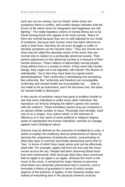such are not our enemy, but our friend; where there are symptoms there is conflict, and conflict always indicates that the forces of life which strive for integration and happiness are still fighting." The really hopeless victims of mental illness are to be found among those who appear to be most normal. "Many of them are normal because they are so well adjusted to our mode of existence, because their human voice has been silenced so early in their lives, that they do not even struggle or suffer or develop symptoms as the neurotic does." They are normal not in what may be called the absolute sense of the word; they are normal only in relation to a profoundly abnormal society. Their perfect adjustment to that abnormal society is a measure of their mental sickness. These millions of abnormally normal people, living without fuss in a society to which, if they were fully human beings, they ought not to be adjusted, still cherish "the illusion of individuality," but in fact they have been to a great extent deindividualized. Their conformity is developing into something like uniformity. But "uniformity and freedom are incompatible. Uniformity and mental health are incompatible too. . . . Man is not made to be an automaton, and if he becomes one, the basis for mental health is destroyed."

In the course of evolution nature has gone to endless trouble to see that every individual is unlike every other individual. We reproduce our kind by bringing the father's genes into contact with the mother's. These hereditary factors may be combined in an almost infinite number of ways. Physically and mentally, each one of us is unique. Any culture which, in the interests of efficiency or in the name of some political or religious dogma, seeks to standardize the human individual, commits an outrage against man's biological nature.

Science may be defined as the reduction of multiplicity to unity. It seeks to explain the endlessly diverse phenomena of nature by ignoring the uniqueness of particular events, concentrating on what they have in common and finally abstracting some kind of "law," in terms of which they make sense and can be effectively dealt with. For example, apples fall from the tree and the moon moves across the sky. People had been observing these facts from time immemorial. With Gertrude Stein they were convinced that an apple is an apple is an apple, whereas the moon is the moon is the moon. It remained for Isaac Newton to perceive what these very dissimilar phenomena had in common, and to formulate a theory of gravitation in terms of which certain aspects of the behavior of apples, of the heavenly bodies and indeed of everything else in the physical universe could be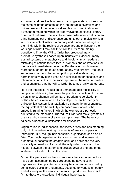explained and dealt with in terms of a single system of ideas. In the same spirit the artist takes the innumerable diversities and uniquenesses of the outer world and his own imagination and gives them meaning within an orderly system of plastic, literary or musical patterns. The wish to impose order upon confusion, to bring harmony out of dissonance and unity out of multiplicity is a kind of intellectual instinct, a primary and fundamental urge of the mind. Within the realms of science, art and philosophy the workings of what I may call this "Will to Order" are mainly beneficent. True, the Will to Order has produced many premature syntheses based upon insufficient evidence, many absurd systems of metaphysics and theology, much pedantic mistaking of notions for realities, of symbols and abstractions for the data of immediate experience. But these errors, however regrettable, do not do much harm, at any rate directly—though it sometimes happens that a bad philosophical system may do harm indirectly, by being used as a justification for senseless and inhuman actions. It is in the social sphere, in the realm of politics and economics, that the Will to Order becomes really dangerous.

Here the theoretical reduction of unmanageable multiplicity to comprehensible unity becomes the practical reduction of human diversity to subhuman uniformity, of freedom to servitude. In politics the equivalent of a fully developed scientific theory or philosophical system is a totalitarian dictatorship. In economics, the equivalent of a beautifully composed work of art is the smoothly running factory in which the workers are perfectly adjusted to the machines. The Will to Order can make tyrants out of those who merely aspire to clear up a mess. The beauty of tidiness is used as a justification for despotism.

Organization is indispensable; for liberty arises and has meaning only within a self-regulating community of freely co-operating individuals. But, though indispensable, organization can also be fatal. Too much organization transforms men and women into automata, suffocates the creative spirit and abolishes the very possibility of freedom. As usual, the only safe course is in the middle, between the extremes of *laissez-faire* at one end of the scale and of total control at the other.

During the past century the successive advances in technology have been accompanied by corresponding advances in organization. Complicated machinery has had to be matched by complicated social arrangements, designed to work as smoothly and efficiently as the new instruments of production. In order to fit into these organizations, individuals have had to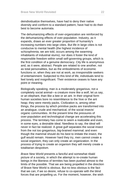deindividualize themselves, have had to deny their native diversity and conform to a standard pattern, have had to do their best to become automata.

The dehumanizing effects of over-organization are reinforced by the dehumanizing effects of over-population. Industry, as it expands, draws an ever greater proportion of humanity's increasing numbers into large cities. But life in large cities is not conducive to mental health (the highest incidence of schizophrenia, we are told, occurs among the swarming inhabitants of industrial slums); nor does it foster the kind of responsible freedom within small self-governing groups, which is the first condition of a genuine democracy. City life is anonymous and, as it were, abstract. People are related to one another, not as total personalities, but as the embodiments of economic functions or, when they are not at work, as irresponsible seekers of entertainment. Subjected to this kind of life, individuals tend to feel lonely and insignificant. Their existence ceases to have any point or meaning.

Biologically speaking, man is a moderately gregarious, not a completely social animal—a creature more like a wolf, let us say, or an elephant, than like a bee or an ant. In their original form human societies bore no resemblance to the hive or the ant heap; they were merely packs. Civilization is, among other things, the process by which primitive packs are transformed into an analogue, crude and mechanical, of the social insects' organic communities. At the present time the pressures of over-population and technological change are accelerating this process. The termitary has come to seem a realizable and even, in some eyes, a desirable ideal. Needless to say, the ideal will never in fact be realized. A great gulf separates the social insect from the not too gregarious, big-brained mammal; and even though the mammal should do his best to imitate the insect, the gulf would remain. However hard they try, men cannot create a social organism, they can only create an organization. In the process of trying to create an organism they will merely create a totalitarian despotism.

*Brave New World* presents a fanciful and somewhat ribald picture of a society, in which the attempt to re-create human beings in the likeness of termites has been pushed almost to the limits of the possible. That we are being propelled in the direction of Brave New World is obvious. But no less obvious is the fact that we can, if we so desire, refuse to co-operate with the blind forces that are propelling us. For the moment, however, the wish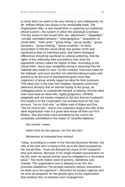to resist does not seem to be very strong or very widespread. As Mr. William Whyte has shown in his remarkable book, *The Organization Man*, a new Social Ethic is replacing our traditional ethical system—the system in which the individual is primary. The key words in this Social Ethic are "adjustment," "adaptation," "socially orientated behavior," "belongingness," "acquisition of social skills," "team work," "group living," "group loyalty," "group dynamics," "group thinking," "group creativity." Its basic assumption is that the social whole has greater worth and significance than its individual parts, that inborn biological differences should be sacrificed to cultural uniformity, that the rights of the collectivity take precedence over what the eighteenth century called the Rights of Man. According to the Social Ethic, Jesus was completely wrong in asserting that the Sabbath was made for man. On the contrary, man was made for the Sabbath, and must sacrifice his inherited idiosyncrasies and pretend to be the kind of standardized good mixer that organizers of group activity regard as ideal for their purposes. This ideal man is the man who displays "dynamic conformity" (delicious phrase!) and an intense loyalty to the group, an unflagging desire to subordinate himself, to belong. And the ideal man must have an ideal wife, highly gregarious, infinitely adaptable and not merely resigned to the fact that her husband's first loyalty is to the Corporation, but actively loyal on her own account. "He for God only," as Milton said of Adam and Eve, "she for God in him." And in one important respect the wife of the ideal organization man is a good deal worse off than our First Mother. She and Adam were permitted by the Lord to be completely uninhibited in the matter of "youthful dalliance."

*Nor turned, I ween,*

*Adam from his fair spouse, nor Eve the rites*

*Mysterious of connubial love refused*

Today, according to a writer in the *Harvard Business Review*, the wife of the man who is trying to live up to the ideal proposed by the Social Ethic, "must not demand too much of her husband's time and interest. Because of his single-minded concentration on his job, even his sexual activity must be relegated to a secondary place." The monk makes vows of poverty, obedience and chastity. The organization man is allowed to be rich, but promises obedience ("he accepts authority without resentment, he looks up to his superiors"—*Mussolini ha sempre ragione*) and he must be prepared, for the greater glory of the organization that employs him, to forswear even conjugal love.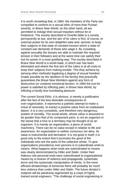It is worth remarking that, in 1984, the members of the Party are compelled to conform to a sexual ethic of more than Puritan severity. In *Brave New World*, on the other hand, all are permitted to indulge their sexual impulses without let or hindrance. The society described in Orwells fable is a society permanently at war, and the aim of its rulers is first, of course, to exercise power for its own delightful sake and, second, to keep their subjects in that state of constant tension which a state of constant war demands of those who wage it. By crusading against sexuality the bosses are able to maintain the required tension in their followers and at the same time can satisfy their lust for power in a most gratifying way. The society described in *Brave New World* is a world-state, in which war has been eliminated and where the first aim of the rulers is at all costs to keep their subjects from making trouble. This they achieve by (among other methods) legalizing a degree of sexual freedom (made possible by the abolition of the family) that practically guarantees the Brave New Worlders against any form of destructive (or creative) emotional tension. In 1984 the lust for power is satisfied by inflicting pain; in *Brave New World*, by inflicting a hardly less humiliating pleasure.

The current Social Ethic, it is obvious, is merely a justification after the fact of the less desirable consequences of over-organization. It represents a pathetic attempt to make a virtue of necessity, to extract a positive value from an unpleasant datum. It is a very unrealistic, and therefore very dangerous, system of morality. The social whole, whose value is assumed to be greater than that of its component parts, is not an organism in the sense that a hive or a termitary may be thought of as an organism. It is merely an organization, a piece of social machinery. There can be no value except in relation to life and awareness. An organization is neither conscious nor alive. Its value is instrumental and derivative. It is not good in itself; it is good only to the extent that it promotes the good of the individuals who are the parts of the collective whole. To give organizations precedence over persons is to subordinate ends to means. What happens when ends are subordinated to means was clearly demonstrated by Hitler and Stalin. Under their hideous rule personal ends were subordinated to organizational means by a mixture of violence and propaganda, systematic terror and the systematic manipulation of minds. In the more efficient dictatorships of tomorrow there will probably be much less violence than under Hitler and Stalin. The future dictator's subjects will be painlessly regimented by a corps of highly trained social engineers. "The challenge of social engineering in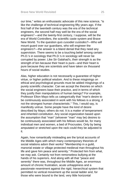our time," writes an enthusiastic advocate of this new science, "is like the challenge of technical engineering fifty years ago. If the first half of the twentieth century was the era of the technical engineers, the second half may well be the era of the social engineers"—and the twenty-first century, I suppose, will be the era of World Controllers, the scientific caste system and Brave New World. To the question *quis cusodiet custodes?*—Who will mount guard over our guardians, who will engineer the engineers?—the answer is a bland denial that they need any supervision. There seems to be a touching belief among certain Ph.D.'s in sociology that Ph.D.'s in sociology will never be corrupted by power. Like Sir Galahad's, their strength is as the strength of ten because their heart is pure—and their heart is pure because they are scientists and have taken six thousand hours of social studies.

Alas, higher education is not necessarily a guarantee of higher virtue, or higher political wisdom. And to these misgivings on ethical and psychological grounds must be added misgivings of a purely scientific character. Can we accept the theories on which the social engineers base their practice, and in terms of which they justify their manipulations of human beings? For example, Professor Elton Mayo tells us categorically that "man's desire to be continuously associated in work with his fellows is a strong, if not the strongest human characteristic." This, I would say, is manifestly untrue. Some people have the kind of desire described by Mayo; others do not. It is a matter of temperament and inherited constitution. Any social organization based upon the assumption that "man" (whoever "man" may be) desires to be continuously associated with his fellows would be, for many individual men and women, a bed of Procrustes. Only by being amputated or stretched upon the rack could they be adjusted to it.

Again, how romantically misleading are the lyrical accounts of the Middle Ages with which many contemporary theorists of social relations adorn their works! "Membership in a guild, manorial estate or village protected medieval man throughout his life and gave him peace and serenity." Protected him from what, we may ask. Certainly not from remorseless bullying at the hands of his superiors. And along with all that "peace and serenity" there was, throughout the Middle Ages, an enormous amount of chronic frustration, acute unhappiness and a passionate resentment against the rigid, hierarchical system that permitted no vertical movement up the social ladder and, for those who were bound to the land, very little horizontal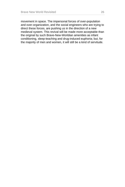movement in space. The impersonal forces of over-population and over-organization, and the social engineers who are trying to direct these forces, are pushing us in the direction of a new medieval system. This revival will be made more acceptable than the original by such Brave-New-Worldian amenities as infant conditioning, sleep-teaching and drug-induced euphoria; but, for the majority of men and women, it will still be a kind of servitude.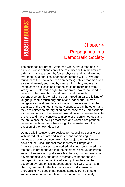### **OSETTAB**

### Chapter 4 Propaganda in a Democratic Society

The doctrines of Europe," Jefferson wrote, "were that men in numerous associations cannot be restrained within the limits of order and justice, except by forces physical and moral wielded over them by authorities independent of their will. . . . We (the founders of the new American democracy) believe that man was a rational animal, endowed by nature with rights, and with an innate sense of justice and that he could be restrained from wrong, and protected in right, by moderate powers, confided to persons of his own choice and held to their duties by dependence on his own will." To post-Freudian ears, this kind of language seems touchingly quaint and ingenuous. Human beings are a good deal less rational and innately just than the optimists of the eighteenth century supposed. On the other hand they are neither so morally blind nor so hopelessly unreasonable as the pessimists of the twentieth would have us believe. In spite of the Id and the Unconscious, in spite of endemic neurosis and the prevalence of low IQ's most men and women are probably decent enough and sensible enough to be trusted with the direction of their own destinies.

Democratic institutions are devices for reconciling social order with individual freedom and initiative, and for making the immediate power of a country's rulers subject to the ultimate power of the ruled. The fact that, in western Europe and America, these devices have worked, all things considered, not too badly is proof enough that the eighteenth-century optimists were not entirely wrong. Given a fair chance, human beings can govern themselves, and govern themselves better, though perhaps with less mechanical efficiency, than they can be governed by "authorities independent of their will." Given a fair chance, I repeat; for the fair chance is an indispensable prerequisite. No people that passes abruptly from a state of subservience under the rule of a despot to the completely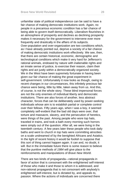unfamiliar state of political independence can be said to have a fair chance of making democratic institutions work. Again, no people in a precarious economic condition has a fair chance of being able to govern itself democratically. Liberalism flourishes in an atmosphere of prosperity and declines as declining prosperity makes it necessary for the government to intervene ever more frequently and drastically in the affairs of its subjects. Over-population and over-organization are two conditions which, as I have already pointed out, deprive a society of a fair chance of making democratic institutions work effectively. We see, then, that there are certain historical, economic, demographic and technological conditions which make it very hard for Jefferson's rational animals, endowed by nature with inalienable rights and an innate sense of justice, to exercise their reason, claim their rights and act justly within a democratically organized society. We in the West have been supremely fortunate in having been given our fair chance of making the great experiment in self-government. Unfortunately it now looks as though, owing to recent changes in our circumstances, this infinitely precious fair chance were being, little by little, taken away from us. And this, of course, is not the whole story. These blind impersonal forces are not the only enemies of individual liberty and democratic institutions. There are also forces of another, less abstract character, forces that can be deliberately used by power-seeking individuals whose aim is to establish partial or complete control over their fellows. Fifty years ago, when I was a boy, it seemed completely self-evident that the bad old days were over, that torture and massacre, slavery, and the persecution of heretics, were things of the past. Among people who wore top hats, traveled in trains, and took a bath every morning such horrors were simply out of the question. After all, we were living in the twentieth century. A few years later these people who took daily baths and went to church in top hats were committing atrocities on a scale undreamed of by the benighted Africans and Asiatics. In the light of recent history it would be foolish to suppose that this sort of thing cannot happen again. It can and, no doubt, it will. But in the immediate future there is some reason to believe that the punitive methods of *1984* will give place to the reinforcements and manipulations of *Brave New World*.

There are two kinds of propaganda—rational propaganda in favor of action that is consonant with the enlightened self-interest of those who make it and those to whom it is addressed, and non-rational propaganda that is not consonant with anybody's enlightened self-interest, but is dictated by, and appeals to, passion. Where the actions of individuals are concerned there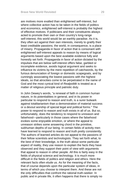are motives more exalted than enlightened self-interest, but where collective action has to be taken in the fields of politics and economics, enlightened self-interest is probably the highest of effective motives. If politicians and their constituents always acted to promote their own or their country's long-range self-interest, this world would be an earthly paradise. As it is, they often act against their own interests, merely to gratify their least creditable passions; the world, in consequence, is a place of misery. Propaganda in favor of action that is consonant with enlightened self-interest appeals to reason by means of logical arguments based upon the best available evidence fully and honestly set forth. Propaganda in favor of action dictated by the impulses that are below self-interest offers false, garbled or incomplete evidence, avoids logical argument and seeks to influence its victims by the mere repetition of catchwords, by the furious denunciation of foreign or domestic scapegoats, and by cunningly associating the lowest passions with the highest ideals, so that atrocities come to be perpetrated in the name of God and the most cynical kind of *Realpolitik* is treated as a matter of religious principle and patriotic duty.

In John Dewey's words, "a renewal of faith in common human nature, in its potentialities in general, and in its power in particular to respond to reason and truth, is a surer bulwark against totalitarianism than a demonstration of material success or a devout worship of special legal and political forms." The power to respond to reason and truth exists in all of us. But so, unfortunately, does the tendency to respond to unreason and falsehood—particularly in those cases where the falsehood evokes some enjoyable emotion, or where the appeal to unreason strikes some answering chord in the primitive, subhuman depths of our being. In certain fields of activity men have learned to respond to reason and truth pretty consistently. The authors of learned articles do not appeal to the passions of their fellow scientists and technologists. They set forth what, to the best of their knowledge, is the truth about some particular aspect of reality, they use reason to explain the facts they have observed and they support their point of view with arguments that appeal to reason in other people. All this is fairly easy in the fields of physical science and technology. It is much more difficult in the fields of politics and religion and ethics. Here the relevant facts often elude us. As for the meaning of the facts, that of course depends upon the particular system of ideas, in terms of which you choose to interpret them. And these are not the only difficulties that confront the rational truth-seeker. In public and in private life, it often happens that there is simply no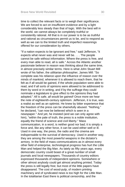time to collect the relevant facts or to weigh their significance. We are forced to act on insufficient evidence and by a light considerably less steady than that of logic. With the best will in the world, we cannot always be completely truthful or consistently rational. All that is in our power is to be as truthful and rational as circumstances permit us to be, and to respond as well as we can to the limited truth and imperfect reasonings offered for our consideration by others.

"If a nation expects to be ignorant and free," said Jefferson, "it expects what never was and never will be. . . . The people cannot be safe without information. Where the press is free, and every man able to read, all is safe." Across the Atlantic another passionate believer in reason was thinking about the same time, in almost precisely similar terms. Here is what John Stuart Mill wrote of his father, the utilitarian philosopher, James Mill: "So complete was his reliance upon the influence of reason over the minds of mankind, whenever it is allowed to reach them, that he felt as if all would be gained, if the whole population were able to read, and if all sorts of opinions were allowed to be addressed to them by word or in writing, and if by the suffrage they could nominate a legislature to give effect to the opinions they had adopted." *All is safe, all would be gained!* Once more we hear the note of eighteenth-century optimism. Jefferson, it is true, was a realist as well as an optimist. He knew by bitter experience that the freedom of the press can be shamefully abused. "Nothing," he declared, "can now be believed which is seen in a newspaper." And yet, he insisted (and we can only agree with him), "within the pale of truth, the press is a noble institution, equally the friend of science and civil liberty." Mass communication, in a word, is neither good nor bad; it is simply a force and, like any other force, it can be used either well or ill. Used in one way, the press, the radio and the cinema are indispensable to the survival of democracy. Used in another way, they are among the most powerful weapons in the dictator's armory. In the field of mass communications as in almost every other field of enterprise, technological progress has hurt the Little Man and helped the Big Man. As lately as fifty years ago, every democratic country could boast of a great number of small journals and local newspapers. Thousands of country editors expressed thousands of independent opinions. Somewhere or other almost anybody could get almost anything printed. Today the press is still legally free; but most of the little papers have disappeared. The cost of wood-pulp, of modern printing machinery and of syndicated news is too high for the Little Man. In the totalitarian East there is political censorship, and the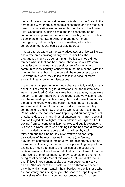media of mass communication are controlled by the State. In the democratic West there is economic censorship and the media of mass communication are controlled by members of the Power Elite. Censorship by rising costs and the concentration of communication power in the hands of a few big concerns is less objectionable than State ownership and government propaganda; but certainly it is not something of which a Jeffersonian democrat could possibly approve.

In regard to propaganda the early advocates of universal literacy and a free press envisaged only two possibilities: the propaganda might be true, or it might be false. They did not foresee what in fact has happened, above all in our Western capitalist democracies—the development of a vast mass communications industry, concerned in the main neither with the true nor the false, but with the unreal, the more or less totally irrelevant. In a word, they failed to take into account man's almost infinite appetite for distractions.

In the past most people never got a chance of fully satisfying this appetite. They might long for distractions, but the distractions were not provided. Christmas came but once a year, feasts were "solemn and rare," there were few readers and very little to read, and the nearest approach to a neighborhood movie theater was the parish church, where the performances, though frequent, were somewhat monotonous. For conditions even remotely comparable to those now prevailing we must return to imperial Rome, where the populace was kept in good humor by frequent, gratuitous doses of many kinds of entertainment—from poetical dramas to gladiatorial fights, from recitations of Virgil to all-out boxing, from concerts to military reviews and public executions. But even in Rome there was nothing like the non-stop distraction now provided by newspapers and magazines, by radio, television and the cinema. In *Brave New World* non-stop distractions of the most fascinating nature (the feelies, orgy-porgy, centrifugal bumblepuppy) are deliberately used as instruments of policy, for the purpose of preventing people from paying too much attention to the realities of the social and political situation. The other world of religion is different from the other world of entertainment; but they resemble one another in being most decidedly "not of this world." Both are distractions and, if lived in too continuously, both can become, in Marx's phrase, "the opium of the people" and so a threat to freedom. Only the vigilant can maintain their liberties, and only those who are constantly and intelligently on the spot can hope to govern themselves effectively by democratic procedures. A society,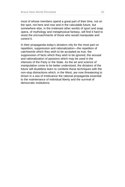most of whose members spend a great part of their time, not on the spot, not here and now and in the calculable future, but somewhere else, in the irrelevant other worlds of sport and soap opera, of mythology and metaphysical fantasy, will find it hard to resist the encroachments of those who would manipulate and control it.

In their propaganda today's dictators rely for the most part on repetition, suppression and rationalization—the repetition of catchwords which they wish to be accepted as true, the suppression of facts which they wish to be ignored, the arousal and rationalization of passions which may be used in the interests of the Party or the State. As the art and science of manipulation come to be better understood, the dictators of the future will doubtless learn to combine these techniques with the non-stop distractions which, in the West, are now threatening to drown in a sea of irrelevance the rational propaganda essential to the maintenance of individual liberty and the survival of democratic institutions.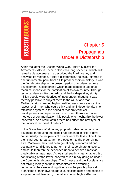### **10SetTAB**

### Chapter 5 Propaganda Under a Dictatorship

At his trial after the Second World War, Hitler's Minister for Armaments, Albert Speer, delivered a long speech in which, with remarkable acuteness, he described the Nazi tyranny and analyzed its methods. "Hitler's dictatorship," he said, "differed in one fundamental point from all its predecessors in history. It was the first dictatorship in the present period of modern technical development, a dictatorship which made complete use of all technical means for the domination of its own country. Through technical devices like the radio and the loud-speaker, eighty million people were deprived of independent thought. It was thereby possible to subject them to the will of one man. . . . Earlier dictators needed highly qualified assistants even at the lowest level—men who could think and act independently. The totalitarian system in the period of modern technical development can dispense with such men; thanks to modern methods of communication, it is possible to mechanize the lower leadership. As a result of this there has arisen the new type of the uncritical recipient of orders."

In the Brave New World of my prophetic fable technology had advanced far beyond the point it had reached in Hitler's day; consequently the recipients of orders were far less critical than their Nazi counterparts, far more obedient to the order-giving elite. Moreover, they had been genetically standardized and postnatally conditioned to perform their subordinate functions, and could therefore be depended upon to behave almost as predictably as machines. As we shall see in a later chapter, this conditioning of "the lower leadership" is already going on under the Communist dictatorships. The Chinese and the Russians are not relying merely on the indirect effects of advancing technology; they are working directly on the psychophysical organisms of their lower leaders, subjecting minds and bodies to a system of ruthless and, from all accounts, highly effective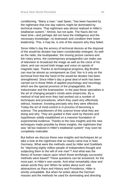conditioning. "Many a man," said Speer, "has been haunted by the nightmare that one day nations might be dominated by technical means. That nightmare was almost realized in Hitler's totalitarian system." Almost, but not quite. The Nazis did not have time—and perhaps did not have the intelligence and the necessary knowledge—to brainwash and condition their lower leadership. This, it may be, is one of the reasons why they failed.

Since Hitler's day the armory of technical devices at the disposal of the would-be dictator has been considerably enlarged. As well as the radio, the loudspeaker, the moving picture camera and the rotary press, the contemporary propagandist can make use of television to broadcast the image as well as the voice of his client, and can record both image and voice on spools of magnetic tape. Thanks to technological progress, Big Brother can now be almost as omnipresent as God. Nor is it only on the technical front that the hand of the would-be dictator has been strengthened. Since Hitler's day a great deal of work has been carried out in those fields of applied psychology and neurology which are the special province of the propagandist, the indoctrinator and the brainwasher. In the past these specialists in the art of changing people's minds were empiricists. By a method of trial and error they had worked out a number of techniques and procedures, which they used very effectively without, however, knowing precisely why they were effective. Today the art of mind-control is in process of becoming a science. The practitioners of this science know what they are doing and why. They are guided in their work by theories and hypotheses solidly established on a massive foundation of experimental evidence. Thanks to the new insights and the new techniques made possible by these insights, the nightmare that was "all but realized in Hitler's totalitarian system" may soon be completely realizable.

But before we discuss these new insights and techniques let us take a look at the nightmare that so nearly came true in Nazi Germany. What were the methods used by Hitler and Goebbels for "depriving eighty million people of independent thought and subjecting them to the will of one man"? And what was the theory of human nature upon which those terrifyingly successful methods were based? These questions can be answered, for the most part, in Hitler's own words. And what remarkably clear and astute words they are! When he writes about such vast abstractions as Race and History and Providence, Hitler is strictly unreadable. But when he writes about the German masses and the methods he used for dominating and directing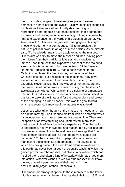them, his style changes. Nonsense gives place to sense, bombast to a hard-boiled and cynical lucidity. In his philosophical lucubrations Hitler was either cloudily daydreaming or reproducing other people's half-baked notions. In his comments on crowds and propaganda he was writing of things he knew by firsthand experience. In the words of his ablest biographer, Mr. Alan Bullock, "Hitler was the greatest demagogue in history." Those who add, "only a demagogue," fail to appreciate the nature of political power in an age of mass politics. As he himself said, "To be a leader means to be able to move the masses." Hitler's aim was first to move the masses and then, having pried them loose from their traditional loyalties and moralities, to impose upon them (with the hypnotized consent of the majority) a new authoritarian order of his own devising. "Hitler," wrote Hermann Rauschning in 1939, "has a deep respect for the Catholic church and the Jesuit order; not because of their Christian doctrine, but because of the 'machinery' they have elaborated and controlled, their hierarchical system, their extremely clever tactics, their knowledge of human nature and their wise use of human weaknesses in ruling over believers." Ecclesiasticism without Christianity, the discipline of a monastic rule, not for God's sake or in order to achieve personal salvation, but for the sake of the State and for the greater glory and power of the demagogue turned Leader—this was the goal toward which the systematic moving of the masses was to lead.

Let us see what Hitler thought of the masses he moved and how he did the moving. The first principle from which he started was a value judgment: the masses are utterly contemptible. They are incapable of abstract thinking and uninterested in any fact outside the circle of their immediate experience. Their behavior is determined, not by knowledge and reason, but by feelings and unconscious drives. It is in these drives and feelings that "the roots of their positive as well as their negative attitudes are implanted." To be successful a propagandist must learn how to manipulate these instincts and emotions. "The driving force which has brought about the most tremendous revolutions on this earth has never been a body of scientific teaching which has gained power over the masses, but always a devotion which has inspired them, and often a kind of hysteria which has urged them into action. Whoever wishes to win over the masses must know the key that will open the door of their hearts.". . . In post-Freudian jargon, of their unconscious.

Hitler made his strongest appeal to those members of the lower middle classes who had been ruined by the inflation of 1923, and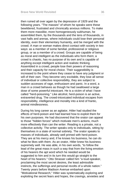then ruined all over again by the depression of 1929 and the following years. "The masses" of whom he speaks were these bewildered, frustrated and chronically anxious millions. To make them more masslike, more homogeneously subhuman, he assembled them, by the thousands and the tens of thousands, in vast halls and arenas, where individuals could lose their personal identity, even their elementary humanity, and be merged with the crowd. A man or woman makes direct contact with society in two ways: as a member of some familial, professional or religious group, or as a member of a crowd. Groups are capable of being as moral and intelligent as the individuals who form them; a crowd is chaotic, has no purpose of its own and is capable of anything except intelligent action and realistic thinking. Assembled in a crowd, people lose their powers of reasoning and their capacity for moral choice. Their suggestibility is increased to the point where they cease to have any judgment or will of their own. They become very excitable, they lose all sense of individual or collective responsibility, they are subject to sudden accesses of rage, enthusiasm and panic. In a word, a man in a crowd behaves as though he had swallowed a large dose of some powerful intoxicant. He is a victim of what I have called "herd-poisoning." Like alcohol, herd-poison is an active, extraverted drug. The crowd-intoxicated individual escapes from responsibility, intelligence and morality into a kind of frantic, animal mindlessness.

During his long career as an agitator, Hitler had studied the effects of herd-poison and had learned how to exploit them for his own purposes. He had discovered that the orator can appeal to those "hidden forces" which motivate men's actions, much more effectively than can the writer. Reading is a private, not a collective activity. The writer speaks only to individuals, sitting by themselves in a state of normal sobriety. The orator speaks to masses of individuals, already well primed with herd-poison. They are at his mercy and, if he knows his business, he can do what he likes with them. As an orator, Hitler knew his business supremely well. He was able, in his own words, "to follow the lead of the great mass in such a way that from the living emotion of his hearers the apt word which he needed would be suggested to him and in its turn this would go straight to the heart of his hearers." Otto Strasser called him "a loud-speaker, proclaiming the most secret desires, the least admissible instincts, the sufferings and personal revolts of a whole nation." Twenty years before Madison Avenue embarked upon "Motivational Research," Hitler was systematically exploring and exploiting the secret fears and hopes, the cravings, anxieties and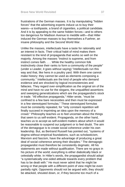frustrations of the German masses. It is by manipulating "hidden forces" that the advertising experts induce us to buy their wares—a toothpaste, a brand of cigarettes, a political candidate. And it is by appealing to the same hidden forces—and to others too dangerous for Madison Avenue to meddle with—that Hitler induced the German masses to buy themselves a Fuehrer, an insane philosophy and the Second World War.

Unlike the masses, intellectuals have a taste for rationality and an interest in facts. Their critical habit of mind makes them resistant to the kind of propaganda that works so well on the majority. Among the masses "instinct is supreme, and from instinct comes faith. . . . While the healthy common folk instinctively close their ranks to form a community of the people" (under a Leader, it goes without saying) "intellectuals run this way and that, like hens in a poultry yard. With them one cannot make history; they cannot be used as elements composing a community." Intellectuals are the kind of people who demand evidence and are shocked by logical inconsistencies and fallacies. They regard over-simplification as the original sin of the mind and have no use for the slogans, the unqualified assertions and sweeping generalizations which are the propagandist's stock in trade. "All effective propaganda," Hitler wrote, "must be confined to a few bare necessities and then must be expressed in a few stereotyped formulas." These stereotyped formulas must be constantly repeated, for "only constant repetition will finally succeed in imprinting an idea upon the memory of a crowd." Philosophy teaches us to feel uncertain about the things that seem to us self-evident. Propaganda, on the other hand, teaches us to accept as self-evident matters about which it would be reasonable to suspend our judgment or to feel doubt. The aim of the demagogue is to create social coherence under his own leadership. But, as Bertrand Russell has pointed out, "systems of dogma without empirical foundations, such as scholasticism, Marxism and fascism, have the advantage of producing a great deal of social coherence among their disciples." The demagogic propagandist must therefore be consistently dogmatic. All his statements are made without qualification. There are no grays in his picture of the world; everything is either diabolically black or celestially white. In Hitler's words, the propagandist should adopt "a systematically one-sided attitude towards every problem that has to be dealt with." He must never admit that he might be wrong or that people with a different point of view might be even partially right. Opponents should not be argued with; they should be attacked, shouted down, or, if they become too much of a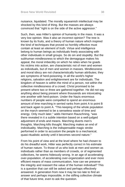nuisance, liquidated. The morally squeamish intellectual may be shocked by this kind of thing. But the masses are always convinced that "right is on the side of the active aggressor."

Such, then, was Hitler's opinion of humanity in the mass. It was a very low opinion. Was it also an incorrect opinion? The tree is known by its fruits, and a theory of human nature which inspired the kind of techniques that proved so horribly effective must contain at least an element of truth. Virtue and intelligence belong to human beings as individuals freely associating with other individuals in small groups. So do sin and stupidity. But the subhuman mindlessness to which the demagogue makes his appeal, the moral imbecility on which he relies when he goads his victims into action, are characteristic not of men and women as individuals, but of men and women in masses. Mindlessness and moral idiocy are not characteristically human attributes; they are symptoms of herd-poisoning. In all the world's higher religions, salvation and enlightenment are for individuals. The kingdom of heaven is within the mind of a person, not within the collective mindlessness of a crowd. Christ promised to be present where two or three are gathered together. He did not say anything about being present where thousands are intoxicating one another with herd-poison. Under the Nazis enormous numbers of people were compelled to spend an enormous amount of time marching in serried ranks from point A to point B and back again to point A. "This keeping of the whole population on the march seemed to be a senseless waste of time and energy. Only much later," adds Hermann Rauschning, "was there revealed in it a subtle intention based on a well-judged adjustment of ends and means. Marching diverts men's thoughts. Marching kills thought. Marching makes an end of individuality. Marching is the indispensable magic stroke performed in order to accustom the people to a mechanical, quasi-ritualistic activity until it becomes second nature."

From his point of view and at the level where he had chosen to do his dreadful work, Hitler was perfectly correct in his estimate of human nature. To those of us who look at men and women as individuals rather than as members of crowds, or of regimented collectives, he seems hideously wrong. In an age of accelerating over-population, of accelerating over-organization and ever more efficient means of mass communication, how can we preserve the integrity and reassert the value of the human individual? This is a question that can still be asked and perhaps effectively answered. A generation from now it may be too late to find an answer and perhaps impossible, in the stifling collective climate of that future time, even to ask the question.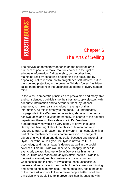# **NALL3SOX**

### Chapter 6 The Arts of Selling

The survival of democracy depends on the ability of large numbers of people to make realistic choices in the light of adequate information. A dictatorship, on the other hand, maintains itself by censoring or distorting the facts, and by appealing, not to reason, not to enlightened self-interest, but to passion and prejudice, to the powerful "hidden forces," as Hitler called them, present in the unconscious depths of every human mind.

In the West, democratic principles are proclaimed and many able and conscientious publicists do their best to supply electors with adequate information and to persuade them, by rational argument, to make realistic choices in the light of that information. All this is greatly to the good. But unfortunately propaganda in the Western democracies, above all in America, has two faces and a divided personality. In charge of the editorial department there is often a democratic Dr. Jekyll—a propagandist who would be very happy to prove that John Dewey had been right about the ability of human nature to respond to truth and reason. But this worthy man controls only a part of the machinery of mass communication. In charge of advertising we find an anti-democratic, because anti-rational, Mr. Hyde—or rather a Dr. Hyde, for Hyde is now a Ph.D. in psychology and has a master's degree as well in the social sciences. This Dr. Hyde would be very unhappy indeed if everybody always lived up to John Dewey's faith in human nature. Truth and reason are Jekyll's affair, not his. Hyde is a motivation analyst, and his business is to study human weaknesses and failings, to investigate those unconscious desires and fears by which so much of men's conscious thinking and overt doing is determined. And he does this, not in the spirit of the moralist who would like to make people better, or of the physician who would like to improve their health, but simply in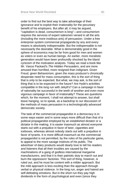order to find out the best way to take advantage of their ignorance and to exploit their irrationality for the pecuniary benefit of his employers. But after all, it may be argued, "capitalism is dead, consumerism is king"—and consumerism requires the services of expert salesmen versed in all the arts (including the more insidious arts) of persuasion. Under a free enterprise system commercial propaganda by any and every means is absolutely indispensable. But the indispensable is not necessarily the desirable. What is demonstrably good in the sphere of economics may be far from good for men and women as voters or even as human beings. An earlier, more moralistic generation would have been profoundly shocked by the bland cynicism of the motivation analysts. Today we read a book like Mr. Vance Packard's *The Hidden Persuaders*, and are more amused than horrified, more resigned than indignant. Given Freud, given Behaviorism, given the mass producer's chronically desperate need for mass consumption, this is the sort of thing that is only to be expected. But what, we may ask, is the sort of thing that is to be expected in the future? Are Hyde's activities compatible in the long run with Jekyll's? Can a campaign in favor of rationality be successful in the teeth of another and even more vigorous campaign in favor of irrationality? These are questions which, for the moment, I shall not attempt to answer, but shall leave hanging, so to speak, as a backdrop to our discussion of the methods of mass persuasion in a technologically advanced democratic society.

The task of the commercial propagandist in a democracy is in some ways easier and in some ways more difficult than that of a political propagandist employed by an established dictator or a dictator in the making. It is easier inasmuch as almost everyone starts out with a prejudice in favor of beer, cigarettes and iceboxes, whereas almost nobody starts out with a prejudice in favor of tyrants. It is more difficult inasmuch as the commercial propagandist is not permitted, by the rules of his particular game, to appeal to the more savage instincts of his public. The advertiser of dairy products would dearly love to tell his readers and listeners that all their troubles are caused by the machinations of a gang of godless international margarine manufacturers, and that it is their patriotic duty to march out and burn the oppressors' factories. This sort of thing, however, is ruled out, and he must be content with a milder approach. But the mild approach is less exciting than the approach through verbal or physical violence. In the long run, anger and hatred are self-defeating emotions. But in the short run they pay high dividends in the form of psychological and even (since they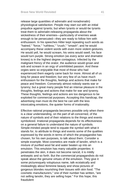release large quantities of adrenalin and noradrenalin) physiological satisfaction. People may start out with an initial prejudice against tyrants; but when tyrants or would-be tyrants treat them to adrenalin-releasing propaganda about the wickedness of their enemies—particularly of enemies weak enough to be persecuted—they are ready to follow him with enthusiasm. In his speeches Hitler kept repeating such words as "hatred," "force," "ruthless," "crush," "smash"; and he would accompany these violent words with even more violent gestures. He would yell, he would scream, his veins would swell, his face would turn purple. Strong emotion (as every actor and dramatist knows) is in the highest degree contagious. Infected by the malignant frenzy of the orator, the audience would groan and sob and scream in an orgy of uninhibited passion. And these orgies were so enjoyable that most of those who had experienced them eagerly came back for more. Almost all of us long for peace and freedom; but very few of us have much enthusiasm for the thoughts, feelings and actions that make for peace and freedom. Conversely almost nobody wants war or tyranny; but a great many people find an intense pleasure in the thoughts, feelings and actions that make for war and tyranny. These thoughts, feelings and actions are too dangerous to be exploited for commercial purposes. Accepting this handicap, the advertising man must do the best he can with the less intoxicating emotions, the quieter forms of irrationality.

Effective rational propaganda becomes possible only when there is a clear understanding, on the part of all concerned, of the nature of symbols and of their relations to the things and events symbolized. Irrational propaganda depends for its effectiveness on a general failure to understand the nature of symbols. Simple-minded people tend to equate the symbol with what it stands for, to attribute to things and events some of the qualities expressed by the words in terms of which the propagandist has chosen, for his own purposes, to talk about them. Consider a simple example. Most cosmetics are made of lanolin, which is a mixture of purified wool fat and water beaten up into an emulsion. This emulsion has many valuable properties: it penetrates the skin, it does not become rancid, it is mildly antiseptic and so forth. But the commercial propagandists do not speak about the genuine virtues of the emulsion. They give it some picturesquely voluptuous name, talk ecstatically and misleadingly about feminine beauty and show pictures of gorgeous blondes nourishing their tissues with skin food. "The cosmetic manufacturers," one of their number has written, "are not selling lanolin, they are selling hope." For this hope, this fraudulent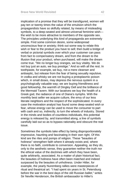implication of a promise that they will be transfigured, women will pay ten or twenty times the value of the emulsion which the propagandists have so skilfully related, by means of misleading symbols, to a deep-seated and almost universal feminine wish the wish to be more attractive to members of the opposite sex. The principles underlying this kind of propaganda are extremely simple. Find some common desire, some widespread unconscious fear or anxiety; think out some way to relate this wish or fear to the product you have to sell; then build a bridge of verbal or pictorial symbols over which your customer can pass from fact to compensatory dream, and from the dream to the illusion that your product, when purchased, will make the dream come true. "We no longer buy oranges, we buy vitality. We do not buy just an auto, we buy prestige." And so with all the rest. In toothpaste, for example, we buy, not a mere cleanser and antiseptic, but release from the fear of being sexually repulsive. In vodka and whisky we are not buying a protoplasmic poison which, in small doses, may depress the nervous system in a psychologically valuable way; we are buying friendliness and good fellowship, the warmth of Dingley Dell and the brilliance of the Mermaid Tavern. With our laxatives we buy the health of a Greek god, the radiance of one of Diana's nymphs. With the monthly best seller we acquire culture, the envy of our less literate neighbors and the respect of the sophisticated. In every case the motivation analyst has found some deep-seated wish or fear, whose energy can be used to move the consumer to part with cash and so, indirectly, to turn the wheels of industry. Stored in the minds and bodies of countless individuals, this potential energy is released by, and transmitted along, a line of symbols carefully laid out so as to bypass rationality and obscure the real issue.

Sometimes the symbols take effect by being disproportionately impressive, haunting and fascinating in their own right. Of this kind are the rites and pomps of religion. These "beauties of holiness" strengthen faith where it already exists and, where there is no faith, contribute to conversion. Appealing, as they do, only to the aesthetic sense, they guarantee neither the truth nor the ethical value of the doctrines with which they have been, quite arbitrarily, associated. As a matter of plain historical fact, the beauties of holiness have often been matched and indeed surpassed by the beauties of unholiness. Under Hitler, for example, the yearly Nuremberg rallies were masterpieces of ritual and theatrical art. "I had spent six years in St. Petersburg before the war in the best days of the old Russian ballet," writes Sir Neville Henderson, the British ambassador to Hitler's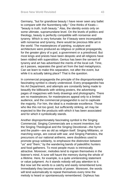Germany, "but for grandiose beauty I have never seen any ballet to compare with the Nuremberg rally." One thinks of Keats— "beauty is truth, truth beauty." Alas, the identity exists only on some ultimate, supramundane level. On the levels of politics and theology, beauty is perfectly compatible with nonsense and tyranny. Which is very fortunate; for if beauty were incompatible with nonsense and tyranny, there would be precious little art in the world. The masterpieces of painting, sculpture and architecture were produced as religious or political propaganda, for the greater glory of a god, a government or a priesthood. But most kings and priests have been despotic and all religions have been riddled with superstition. Genius has been the servant of tyranny and art has advertised the merits of the local cult. Time, as it passes, separates the good art from the bad metaphysics. Can we learn to make this separation, not after the event, but while it is actually taking place? That is the question.

In commercial propaganda the principle of the disproportionately fascinating symbol is clearly understood. Every propagandist has his Art Department, and attempts are constantly being made to beautify the billboards with striking posters, the advertising pages of magazines with lively drawings and photographs. There are no masterpieces; for masterpieces appeal only to a limited audience, and the commercial propagandist is out to captivate the majority. For him, the ideal is a moderate excellence. Those who like this not too good, but sufficiently striking, art may be expected to like the products with which it has been associated and for which it symbolically stands.

Another disproportionately fascinating symbol is the Singing Commercial. Singing Commercials are a recent invention; but the Singing Theological and the Singing Devotional—the hymn and the psalm—are as old as religion itself. Singing Militaries, or marching songs, are coeval with war, and Singing Patriotics, the precursors of our national anthems, were doubtless used to promote group solidarity, to emphasize the distinction between "us" and "them," by the wandering bands of paleolithic hunters and food gatherers. To most people music is intrinsically attractive. Moreover, melodies tend to ingrain themselves in the listener's mind. A tune will haunt the memory during the whole of a lifetime. Here, for example, is a quite uninteresting statement or value judgment. As it stands nobody will pay attention to it. But now set the words to a catchy and easily remembered tune. Immediately they become words of power. Moreover, the words will tend automatically to repeat themselves every time the melody is heard or spontaneously remembered. Orpheus has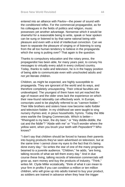entered into an alliance with Pavlov—the power of sound with the conditioned reflex. For the commercial propagandist, as for his colleagues in the fields of politics and religion, music possesses yet another advantage. Nonsense which it would be shameful for a reasonable being to write, speak or hear spoken can be sung or listened to by that same rational being with pleasure and even with a kind of intellectual conviction. Can we learn to separate the pleasure of singing or of listening to song from the all too human tendency to believe in the propaganda which the song is putting over? That again is the question.

Thanks to compulsory education and the rotary press, the propagandist has been able, for many years past, to convey his messages to virtually every adult in every civilized country. Today, thanks to radio and television, he is in the happy position of being able to communicate even with unschooled adults and not yet literate children.

Children, as might be expected, are highly susceptible to propaganda. They are ignorant of the world and its ways, and therefore completely unsuspecting. Their critical faculties are undeveloped. The youngest of them have not yet reached the age of reason and the older ones lack the experience on which their new-found rationality can effectively work. In Europe, conscripts used to be playfully referred to as "cannon fodder." Their little brothers and sisters have now become radio fodder and television fodder. In my childhood we were taught to sing nursery rhymes and, in pious households, hymns. Today the little ones warble the Singing Commercials. Which is better— "Rheingold is my beer, the dry beer," or "Hey diddle-diddle, the cat and the fiddle"? "Abide with me" or "You'll wonder where the yellow went, when you brush your teeth with Pepsodent"? Who knows?

"I don't say that children should be forced to harass their parents into buying products they've seen advertised on television, but at the same time I cannot close my eyes to the fact that it's being done every day." So writes the star of one of the many programs beamed to a juvenile audience. "Children," he adds, "are living, talking records of what we tell them every day." And in due course these living, talking records of television commercials will grow up, earn money and buy the products of industry. "Think," writes Mr. Clyde Miller ecstatically, "think of what it can mean to your firm in profits if you can condition a million or ten million children, who will grow up into adults trained to buy your product, as soldiers are trained in advance when they hear the trigger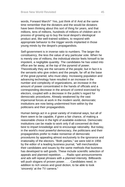words, Forward March!" Yes, just think of it! And at the same time remember that the dictators and the would-be dictators have been thinking about this sort of thing for years, and that millions, tens of millions, hundreds of millions of children are in process of growing up to buy the local despot's ideological product and, like well-trained soldiers, to respond with appropriate behavior to the trigger words implanted in those young minds by the despot's propagandists.

Self-government is in inverse ratio to numbers. The larger the constituency, the less the value of any particular vote. When he is merely one of millions, the individual elector feels himself to be impotent, a negligible quantity. The candidates he has voted into office are far away, at the top of the pyramid of power. Theoretically they are the servants of the people; but in fact it is the servants who give orders and the people, far off at the base of the great pyramid, who must obey. Increasing population and advancing technology have resulted in an increase in the number and complexity of organizations, an increase in the amount of power concentrated in the hands of officials and a corresponding decrease in the amount of control exercised by electors, coupled with a decrease in the public's regard for democratic procedures. Already weakened by the vast impersonal forces at work in the modern world, democratic institutions are now being undermined from within by the politicians and their propagandists.

Human beings act in a great variety of irrational ways, but all of them seem to be capable, if given a fair chance, of making a reasonable choice in the light of available evidence. Democratic institutions can be made to work only if all concerned do their best to impart knowledge and to encourage rationality. But today, in the world's most powerful democracy, the politicians and their propagandists prefer to make nonsense of democratic procedures by appealing almost exclusively to the ignorance and irrationality of the electors. "Both parties," we were told in 1956 by the editor of a leading business journal, "will merchandize their candidates and issues by the same methods that business has developed to sell goods. These include scientific selection of appeals and planned repetition. . . . Radio spot announcements and ads will repeat phrases with a planned intensity. Billboards will push slogans of proven power. . . . Candidates need, in addition to rich voices and good diction, to be able to look 'sincerely' at the TV camera."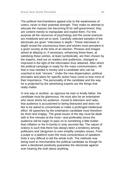The political merchandisers appeal only to the weaknesses of voters, never to their potential strength. They make no attempt to educate the masses into becoming fit for self-government; they are content merely to manipulate and exploit them. For this purpose all the resources of psychology and the social sciences are mobilized and set to work. Carefully selected samples of the electorate are given "interviews in depth." These interviews in depth reveal the unconscious fears and wishes most prevalent in a given society at the time of an election. Phrases and images aimed at allaying or, if necessary, enhancing these fears, at satisfying these wishes, at least symbolically, are then chosen by the experts, tried out on readers and audiences, changed or improved in the light of the information thus obtained. After which the political campaign is ready for the mass communicators. All that is now needed is money and a candidate who can be coached to look "sincere." Under the new dispensation, political principles and plans for specific action have come to lose most of their importance. The personality of the candidate and the way he is projected by the advertising experts are the things that really matter.

In one way or another, as vigorous he-man or kindly father, the candidate must be glamorous. He must also be an entertainer who never bores his audience. Inured to television and radio, that audience is accustomed to being distracted and does not like to be asked to concentrate or make a prolonged intellectual effort. All speeches by the entertainer-candidate must therefore be short and snappy. The great issues of the day must be dealt with in five minutes at the most—and preferably (since the audience will be eager to pass on to something a little livelier than inflation or the H-bomb) in sixty seconds flat. The nature of oratory is such that there has always been a tendency among politicians and clergymen to over-simplify complex issues. From a pulpit or a platform even the most conscientious of speakers finds it very difficult to tell the whole truth. The methods now being used to merchandise the political candidate as though he were a deodorant positively guarantee the electorate against ever hearing the truth about anything.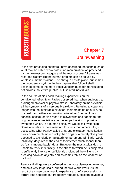### **0SetTAB0**

### Chapter 7 **Brainwashing**

In the two preceding chapters I have described the techniques of what may be called wholesale mind-manipulation, as practiced by the greatest demagogue and the most successful salesmen in recorded history. But no human problem can be solved by wholesale methods alone. The shotgun has its place, but so has the hypodermic syringe. In the chapters that follow I shall describe some of the more effective techniques for manipulating not crowds, not entire publics, but isolated individuals.

In the course of his epoch-making experiments on the conditioned reflex, Ivan Pavlov observed that, when subjected to prolonged physical or psychic stress, laboratory animals exhibit all the symptoms of a nervous breakdown. Refusing to cope any longer with the intolerable situation, their brains go on strike, so to speak, and either stop working altogether (the dog loses consciousness), or else resort to slowdowns and sabotage (the dog behaves unrealistically, or develops the kind of physical symptoms which, in a human being, we would call hysterical). Some animals are more resistant to stress than others. Dogs possessing what Pavlov called a "strong excitatory" constitution break down much more quickly than dogs of a merely "lively" (as opposed to a choleric or agitated) temperament. Similarly "weak inhibitory" dogs reach the end of their tether much sooner than do "calm imperturbable" dogs. But even the most stoical dog is unable to resist indefinitely. If the stress to which he is subjected is sufficiently intense or sufficiently prolonged, he will end by breaking down as abjectly and as completely as the weakest of his kind.

Pavlov's findings were confirmed in the most distressing manner, and on a very large scale, during the two World Wars. As the result of a single catastrophic experience, or of a succession of terrors less appalling but frequently repeated, soldiers develop a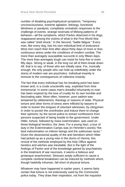number of disabling psychophysical symptoms. Temporary unconsciousness, extreme agitation, lethargy, functional blindness or paralysis, completely unrealistic responses to the challenge of events, strange reversals of lifelong patterns of behavior—all the symptoms, which Pavlov observed in his dogs, reappeared among the victims of what in the First World War was called "shell shock," in the Second, "battle fatigue." Every man, like every dog, has his own individual limit of endurance. Most men reach their limit after about thirty days of more or less continuous stress under the conditions of modern combat. The more than averagely susceptible succumb in only fifteen days. The more than averagely tough can resist for forty-five or even fifty days. Strong or weak, in the long run all of them break down. All, that is to say, of those who are initially sane. For, ironically enough, the only people who can hold up indefinitely under the stress of modern war are psychotics. Individual insanity is immune to the consequences of collective insanity.

The fact that every individual has his breaking point has been known and, in a crude unscientific way, exploited from time immemorial. In some cases man's dreadful inhumanity to man has been inspired by the love of cruelty for its own horrible and fascinating sake. More often, however, pure sadism was tempered by utilitarianism, theology or reasons of state. Physical torture and other forms of stress were inflicted by lawyers in order to loosen the tongues of reluctant witnesses; by clergymen in order to punish the unorthodox and induce them to change their opinions; by the secret police to extract confessions from persons suspected of being hostile to the government. Under Hitler, torture, followed by mass extermination, was used on those biological heretics, the Jews. For a young Nazi, a tour of duty in the Extermination Camps was (in Himmler's words) "the best indoctrination on inferior beings and the subhuman races." Given the obsessional quality of the anti-Semitism which Hitler had picked up as a young man in the slums of Vienna, this revival of the methods employed by the Holy Office against heretics and witches was inevitable. But in the light of the findings of Pavlov and of the knowledge gained by psychiatrists in the treatment of war neuroses, it seems a hideous and grotesque anachronism. Stresses amply sufficient to cause a complete cerebral breakdown can be induced by methods which, though hatefully inhuman, fall short of physical torture.

Whatever may have happened in earlier years, it seems fairly certain that torture is not extensively used by the Communist police today. They draw their inspiration, not from the Inquisitor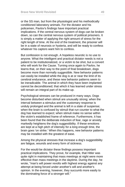or the SS man, but from the physiologist and his methodically conditioned laboratory animals. For the dictator and his policemen, Pavlov's findings have important practical implications. If the central nervous system of dogs can be broken down, so can the central nervous system of political prisoners. It is simply a matter of applying the right amount of stress for the right length of time. At the end of the treatment, the prisoner will be in a state of neurosis or hysteria, and will be ready to confess whatever his captors want him to confess.

But confession is not enough. A hopeless neurotic is no use to anyone. What the intelligent and practical dictator needs is not a patient to be institutionalized, or a victim to be shot, but a convert who will work for the Cause. Turning once again to Pavlov, he learns that, on their way to the point of final breakdown, dogs become more than normally suggestible. New behavior patterns can easily be installed while the dog is at or near the limit of its cerebral endurance, and these new behavior patterns seem to be ineradicable. The animal in which they have been implanted cannot be deconditioned; that which it has learned under stress will remain an integral part of its make-up.

Psychological stresses can be produced in many ways. Dogs become disturbed when stimuli are unusually strong; when the interval between a stimulus and the customary response is unduly prolonged and the animal is left in a state of suspense; when the brain is confused by stimuli that run counter to what the dog has learned to expect; when stimuli make no sense within the victim's established frame of reference. Furthermore, it has been found that the deliberate induction of fear, rage or anxiety markedly heightens the dog's suggestibility. If these emotions are kept at a high pitch of intensity for a long enough time, the brain goes 'on strike.' When this happens, new behavior patterns may be installed with the greatest of ease.

Among the physical stresses that increase a dog's suggestibility are fatigue, wounds and every form of sickness.

For the would-be dictator these findings possess important practical implications. They prove, for example, that Hitler was quite right in maintaining that mass meetings at night were more effective than mass meetings in the daytime. During the day, he wrote, "man's will power revolts with highest energy against any attempt at being forced under another's will and another's opinion. In the evening, however, they succumb more easily to the dominating force of a stronger will."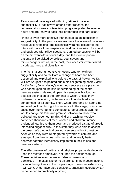Pavlov would have agreed with him; fatigue increases suggestibility. (That is why, among other reasons, the commercial sponsors of television programs prefer the evening hours and are ready to back their preference with hard cash.)

Illness is even more effective than fatigue as an intensifier of suggestibility. In the past, sickrooms were the scene of countless religious conversions. The scientifically trained dictator of the future will have all the hospitals in his dominions wired for sound and equipped with pillow speakers. Canned persuasion will be on the air twenty-four hours a day, and the more important patients will be visited by political soul-savers and mind-changers just as, in the past, their ancestors were visited by priests, nuns and pious laymen.

The fact that strong negative emotions tend to heighten suggestibility and so facilitate a change of heart had been observed and exploited long before the days of Pavlov. As Dr. William Sargant has pointed out in his enlightening book, *Battle for the Mind*, John Wesley's enormous success as a preacher was based upon an intuitive understanding of the central nervous system. He would open his sermon with a long and detailed description of the torments to which, unless they underwent conversion, his hearers would undoubtedly be condemned for all eternity. Then, when terror and an agonizing sense of guilt had brought his audience to the verge, or in some cases over the verge, of a complete cerebral breakdown, he would change his tone and promise salvation to those who believed and repented. By this kind of preaching, Wesley converted thousands of men, women and children. Intense, prolonged fear broke them down and produced a state of greatly intensified suggestibility. In this state they were able to accept the preacher's theological pronouncements without question. After which they were reintegrated by words of comfort, and emerged from their ordeal with new and generally better behavior patterns ineradicably implanted in their minds and nervous systems.

The effectiveness of political and religious propaganda depends upon the methods employed, not upon the doctrines taught. These doctrines may be true or false, wholesome or pernicious—it makes little or no difference. If the indoctrination is given in the right way at the proper stage of nervous exhaustion, it will work. Under favorable conditions, practically everybody can be converted to practically anything.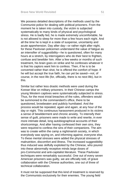We possess detailed descriptions of the methods used by the Communist police for dealing with political prisoners. From the moment he is taken into custody, the victim is subjected systematically to many kinds of physical and psychological stress. He is badly fed, he is made extremely uncomfortable, he is not allowed to sleep for more than a few hours each night. And all the time he is kept in a state of suspense, uncertainty and acute apprehension. Day after day—or rather night after night, for these Pavlovian policemen understand the value of fatigue as an intensifier of suggestibility—he is questioned, often for many hours at a stretch, by interrogators who do their best to frighten, confuse and bewilder him. After a few weeks or months of such treatment, his brain goes on strike and he confesses whatever it is that his captors want him to confess. Then, if he is to be converted rather than shot, he is offered the comfort of hope. If he will but accept the true faith, he can yet be saved—not, of course, in the next life (for, officially, there is no next life), but in this.

Similar but rather less drastic methods were used during the Korean War on military prisoners. In their Chinese camps the young Western captives were systematically subjected to stress. Thus, for the most trivial breaches of the rules, offenders would be summoned to the commandant's office, there to be questioned, browbeaten and publicly humiliated. And the process would be repeated, again and again, at any hour of the day or night. This continuous harassment produced in its victims a sense of bewilderment and chronic anxiety. To intensify their sense of guilt, prisoners were made to write and rewrite, in ever more intimate detail, long autobiographical accounts of their shortcomings. And after having confessed their own sins, they were required to confess the sins of their companions. The aim was to create within the camp a nightmarish society, in which everybody was spying on, and informing against, everyone else. To these mental stresses were added the physical stresses of malnutrition, discomfort and illness. The increased suggestibility thus induced was skilfully exploited by the Chinese, who poured into these abnormally receptive minds large doses of pro-Communist and anti-capitalist literature. These Pavlovian techniques were remarkably successful. One out of every seven American prisoners was guilty, we are officially told, of grave collaboration with the Chinese authorities, one out of three of technical collaboration.

It must not be supposed that this kind of treatment is reserved by the Communists exclusively for their enemies. The young field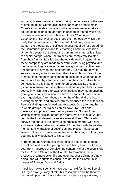workers, whose business it was, during the first years of the new regime, to act as Communist missionaries and organizers in China's innumerable towns and villages were made to take a course of indoctrination far more intense than that to which any prisoner of war was ever subjected. In his *China under Communism* R.L. Walker describes the methods by which the party leaders are able to fabricate out of ordinary men and women the thousands of selfless fanatics required for spreading the Communist gospel and for enforcing Communist policies. Under this system of training, the human raw material is shipped to special camps, where the trainees are completely isolated from their friends, families and the outside world in general. In these camps they are made to perform exhausting physical and mental work; they are never alone, always in groups; they are encouraged to spy on one another; they are required to write self-accusatory autobiographies; they live in chronic fear of the dreadful fate that may befall them on account of what has been said about them by informers or of what they themselves have confessed. In this state of heightened suggestibility they are given an intensive course in theoretical and applied Marxism—a course in which failure to pass examinations may mean anything from ignominious expulsion to a term in a forced labor camp or even liquidation. After about six months of this kind of thing, prolonged mental and physical stress produces the results which Pavlov's findings would lead one to expect. One after another, or in whole groups, the trainees break down. Neurotic and hysterical symptoms make their appearance. Some of the victims commit suicide, others (as many, we are told, as 20 per cent of the total) develop a severe mental illness. Those who survive the rigors of the conversion process emerge with new and ineradicable behavior patterns. All their ties with the past friends, family, traditional decencies and pieties—have been severed. They are new men, recreated in the image of their new god and totally dedicated to his service.

Throughout the Communist world tens of thousands of these disciplined and devoted young men are being turned out every year from hundreds of conditioning centers. What the Jesuits did for the Roman Church of the Counter Reformation, these products of a more scientific and even harsher training are now doing, and will doubtless continue to do, for the Communist parties of Europe, Asia and Africa.

In politics Pavlov seems to have been an old-fashioned liberal. But, by a strange irony of fate, his researches and the theories he based upon them have called into existence a great army of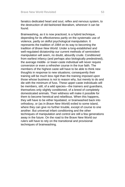fanatics dedicated heart and soul, reflex and nervous system, to the destruction of old-fashioned liberalism, wherever it can be found.

Brainwashing, as it is now practiced, is a hybrid technique, depending for its effectiveness partly on the systematic use of violence, partly on skilful psychological manipulation. It represents the tradition of *1984* on its way to becoming the tradition of *Brave New World*. Under a long-established and well-regulated dictatorship our current methods of semiviolent manipulation will seem, no doubt, absurdly crude. Conditioned from earliest infancy (and perhaps also biologically predestined), the average middle- or lower-caste individual will never require conversion or even a refresher course in the true faith. The members of the highest caste will have to be able to think new thoughts in response to new situations; consequently their training will be much less rigid than the training imposed upon those whose business is not to reason why, but merely to do and die with the minimum of fuss. These upper-caste individuals will be members, still, of a wild species—the trainers and guardians, themselves only slightly conditioned, of a breed of completely domesticated animals. Their wildness will make it possible for them to become heretical and rebellious. When this happens, they will have to be either liquidated, or brainwashed back into orthodoxy, or (as in *Brave New World*) exiled to some island, where they can give no further trouble, except of course to one another. But universal infant conditioning and the other techniques of manipulation and control are still a few generations away in the future. On the road to the Brave New World our rulers will have to rely on the transitional and provisional techniques of brainwashing.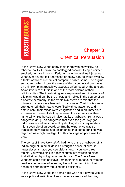# **NOSSETTABOOK**

### Chapter 8 Chemical Persuasion

In the Brave New World of my fable there was no whisky, no tobacco, no illicit heroin, no bootlegged cocaine. People neither smoked, nor drank, nor sniffed, nor gave themselves injections. Whenever anyone felt depressed or below par, he would swallow a tablet or two of a chemical compound called soma. The original soma, from which I took the name of this hypothetical drug, was an unknown plant (possibly *Asclepias acida*) used by the ancient Aryan invaders of India in one of the most solemn of their religious rites. The intoxicating juice expressed from the stems of this plant was drunk by the priests and nobles in the course of an elaborate ceremony. In the Vedic hymns we are told that the drinkers of soma were blessed in many ways. Their bodies were strengthened, their hearts were filled with courage, joy and enthusiasm, their minds were enlightened and in an immediate experience of eternal life they received the assurance of their immortality. But the sacred juice had its drawbacks. Soma was a dangerous drug—so dangerous that even the great sky-god, Indra, was sometimes made ill by drinking it. Ordinary mortals might even die of an overdose. But the experience was so transcendently blissful and enlightening that soma drinking was regarded as a high privilege. For this privilege no price was too great.

The soma of *Brave New World* had none of the drawbacks of its Indian original. In small doses it brought a sense of bliss, in larger doses it made you see visions and, if you took three tablets, you would sink in a few minutes into refreshing sleep. And all at no physiological or mental cost. The Brave New Worlders could take holidays from their black moods, or from the familiar annoyances of everyday life, without sacrificing their health or permanently reducing their efficiency.

In the Brave New World the soma habit was not a private vice; it was a political institution, it was the very essence of the Life,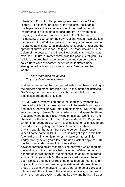Liberty and Pursuit of Happiness guaranteed by the Bill of Rights. But this most precious of the subjects' inalienable privileges was at the same time one of the most powerful instruments of rule in the dictator's armory. The systematic drugging of individuals for the benefit of the State (and incidentally, of course, for their own delight) was a main plank in the policy of the World Controllers. The daily soma ration was an insurance against personal maladjustment, social unrest and the spread of subversive ideas. Religion, Karl Marx declared, is the opium of the people. In the Brave New World this situation was reversed. Opium, or rather soma, was the people's religion. Like religion, the drug had power to console and compensate, it called up visions of another, better world, it offered hope, strengthened faith and promoted charity. Beer, a poet has written,

*. . . does more than Milton can To justify God's ways to man.*

And let us remember that, compared with soma, beer is a drug of the crudest and most unreliable kind. In this matter of justifying God's ways to man, soma is to alcohol as alcohol is to the theological arguments of Milton.

In 1931, when I was writing about the imaginary synthetic by means of which future generations would be made both happy and docile, the well-known American biochemist, Dr. Irvine Page, was preparing to leave Germany, where he had spent the three preceding years at the Kaiser Wilhelm Institute, working on the chemistry of the brain. "It is hard to understand," Dr. Page has written in a recent article, "why it took so long for scientists to get around to investigating the chemical reactions in their own brains. I speak," he adds, "from acute personal experience. When I came home in 1931 . . . I could not get a job in this field (the field of brain chemistry) or stir a ripple of interest in it." Today, twenty-seven years later, the non-existent ripple of 1931 has become a tidal wave of biochemical and psychopharmacological research. The enzymes which regulate the workings of the brain are being studied. Within the body, hitherto unknown chemical substances such as adrenochrome and serotonin (of which Dr. Page was a co-discoverer) have been isolated and their far-reaching effects on our mental and physical functions are now being investigated. Meanwhile new drugs are being synthesized—drugs that reinforce or correct or interfere with the actions of the various chemicals, by means of which the nervous system performs its daily and hourly miracles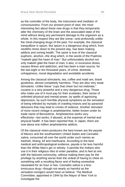as the controller of the body, the instrument and mediator of consciousness. From our present point of view, the most interesting fact about these new drugs is that they temporarily alter the chemistry of the brain and the associated state of the mind without doing any permanent damage to the organism as a whole. In this respect they are like soma—and profoundly unlike the mind-changing drugs of the past. For example, the classical tranquillizer is opium. But opium is a dangerous drug which, from neolithic times down to the present day, has been making addicts and ruining health. The same is true of the classical euphoric, alcohol—the drug which, in the words of the Psalmist, "maketh glad the heart of man." But unfortunately alcohol not only maketh glad the heart of man; it also, in excessive doses, causes illness and addiction, and has been a main source, for the last eight or ten thousand years, of crime, domestic unhappiness, moral degradation and avoidable accidents.

Among the classical stimulants, tea, coffee and maté are, thank goodness, almost completely harmless. They are also very weak stimulants. Unlike these "cups that cheer but not inebriate," cocaine is a very powerful and a very dangerous drug. Those who make use of it must pay for their ecstasies, their sense of unlimited physical and mental power, by spells of agonizing depression, by such horrible physical symptoms as the sensation of being infested by myriads of crawling insects and by paranoid delusions that may lead to crimes of violence. Another stimulant of more recent vintage is amphetamine, better known under its trade name of Benzedrine. Amphetamine works very effectively—but works, if abused, at the expense of mental and physical health. It has been reported that, in Japan, there are now about one million amphetamine addicts.

Of the classical vision-producers the best known are the peyote of Mexico and the southwestern United States and *Cannabis sativa*, consumed all over the world under such names as hashish, bhang, kif and marihuana. According to the best medical and anthropological evidence, peyote is far less harmful than the White Man's gin or whisky. It permits the Indians who use it in their religious rites to enter paradise, and to feel at one with the beloved community, without making them pay for the privilege by anything worse than the ordeal of having to chew on something with a revolting flavor and of feeling somewhat nauseated for an hour or two. *Cannabis sativa* is a less innocuous drug—though not nearly so harmful as the sensation-mongers would have us believe. The Medical Committee, appointed in 1944 by the Mayor of New York to investigate the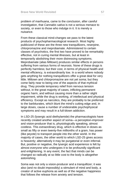problem of marihuana, came to the conclusion, after careful investigation, that *Cannabis sativa* is not a serious menace to society, or even to those who indulge in it. It is merely a nuisance.

From these classical mind-changes we pass to the latest products of psychopharmacological research. Most highly publicized of these are the three new tranquillizers, reserpine, chlorpromazine and meprobamate. Administered to certain classes of psychotics, the first two have proved to be remarkably effective, not in curing mental illnesses, but at least in temporarily abolishing their more distressing symptoms. Meprobamate (alias Miltown) produces similar effects in persons suffering from various forms of neurosis. None of these drugs is perfectly harmless; but their cost, in terms of physical health and mental efficiency, is extraordinarily low. In a world where nobody gets anything for nothing tranquillizers offer a great deal for very little. Miltown and chlorpromazine are not yet soma; but they come fairly near to being one of the aspects of that mythical drug. They provide temporary relief from nervous tension without, in the great majority of cases, inflicting permanent organic harm, and without causing more than a rather slight impairment, while the drug is working, of intellectual and physical efficiency. Except as narcotics, they are probably to be preferred to the barbiturates, which blunt the mind's cutting edge and, in large doses, cause a number of undesirable psychophysical symptoms and may result in a full-blown addiction.

In LSD-25 (lysergic acid diethylamide) the pharmacologists have recently created another aspect of soma—a perception-improver and vision-producer that is, physiologically speaking, almost costless. This extraordinary drug, which is effective in doses as small as fifty or even twenty-five millionths of a gram, has power (like peyote) to transport people into the other world. In the majority of cases, the other world to which LSD-25 gives access is heavenly; alternatively it may be purgatorial or even infernal. But, positive or negative, the lysergic acid experience is felt by almost everyone who undergoes it to be profoundly significant and enlightening. In any event, the fact that minds can be changed so radically at so little cost to the body is altogether astonishing.

Soma was not only a vision-producer and a tranquillizer; it was also (and no doubt impossibly) a stimulant of mind and body, a creator of active euphoria as well as of the negative happiness that follows the release from anxiety and tension.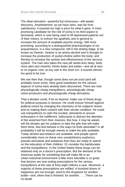The ideal stimulant—powerful but innocuous—still awaits discovery. Amphetamine, as we have seen, was far from satisfactory; it exacted too high a price for what it gave. A more promising candidate for the role of soma in its third aspect is Iproniazid, which is now being used to lift depressed patients out of their misery, to enliven the apathetic and in general to increase the amount of available psychic energy. Still more promising, according to a distinguished pharmacologist of my acquaintance, is a new compound, still in the testing stage, to be known as Deaner. Deaner is an amino-alcohol and is thought to increase the production of acetyl-choline within the body, and thereby to increase the activity and effectiveness of the nervous system. The man who takes the new pill needs less sleep, feels more alert and cheerful, thinks faster and better—and all at next to no organic cost, at any rate in the short run. It sounds almost too good to be true.

We see then that, though soma does not yet exist (and will probably never exist), fairly good substitutes for the various aspects of soma have already been discovered. There are now physiologically cheap tranquillizers, physiologically cheap vision-producers and physiologically cheap stimulants.

That a dictator could, if he so desired, make use of these drugs for political purposes is obvious. He could ensure himself against political unrest by changing the chemistry of his subjects' brains and so making them content with their servile condition. He could use tranquillizers to calm the excited, stimulants to arouse enthusiasm in the indifferent, halluciants to distract the attention of the wretched from their miseries. But how, it may be asked, will the dictator get his subjects to take the pills that will make them think, feel and behave in the ways he finds desirable? In all probability it will be enough merely to make the pills available. Today alcohol and tobacco are available, and people spend considerably more on these very unsatisfactory euphorics, pseudo-stimulants and sedatives than they are ready to spend on the education of their children. Or consider the barbiturates and the tranquillizers. In the United States these drugs can be obtained only on a doctor's prescription. But the demand of the American public for something that will make life in an urban-industrial environment a little more tolerable is so great that doctors are now writing prescriptions for the various tranquillizers at the rate of forty-eight millions a year. Moreover, a majority of these prescriptions are refilled. A hundred doses of happiness are not enough: send to the drugstore for another bottle—and, when that is finished, for another. . . . There can be no doubt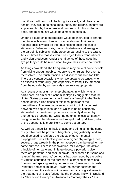that, if tranquillizers could be bought as easily and cheaply as aspirin, they would be consumed, not by the billions, as they are at present, but by the scores and hundreds of billions. And a good, cheap stimulant would be almost as popular.

Under a dictatorship pharmacists would be instructed to change their tune with every change of circumstances. In times of national crisis it would be their business to push the sale of stimulants. Between crisis, too much alertness and energy on the part of his subjects might prove embarrassing to the tyrant. At such times the masses would be urged to buy tranquillizers and vision-producers. Under the influence of these soothing syrups they could be relied upon to give their master no trouble.

As things now stand, the tranquillizers may prevent some people from giving enough trouble, not only to their rulers, but even to themselves. Too much tension is a disease; but so is too little. There are certain occasions when we *ought* to be tense, when an excess of tranquillity (and especially of tranquillity imposed from the outside, by a chemical) is entirely inappropriate.

At a recent symposium on meprobamate, in which I was a participant, an eminent biochemist playfully suggested that the United States government should make a free gift to the Soviet people of fifty billion doses of this most popular of the tranquillizers. The joke had a serious point to it. In a contest between two populations, one of which is being constantly stimulated by threats and promises, constantly directed by one-pointed propaganda, while the other is no less constantly being distracted by television and tranquillized by Miltown, which of the opponents is more likely to come out on top?

As well as tranquillizing, hallucinating and stimulating, the soma of my fable had the power of heightening suggestibility, and so could be used to reinforce the effects of governmental propaganda. Less effectively and at a higher physiological cost, several drugs already in the pharmacopoeia can be used for the same purpose. There is scopolamine, for example, the active principle of henbane and, in large doses, a powerful poison; there are pentothal and sodium amytal. Nicknamed for some odd reason "the truth serum," pentothal has been used by the police of various countries for the purpose of extracting confessions from (or perhaps suggesting confessions to) reluctant criminals. Pentothal and sodium amytal lower the barrier between the conscious and the subconscious mind and are of great value in the treatment of "battle fatigue" by the process known in England as "abreaction therapy," in America as "narcosynthesis." It is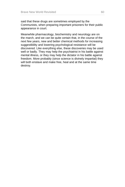said that these drugs are sometimes employed by the Communists, when preparing important prisoners for their public appearance in court.

Meanwhile pharmacology, biochemistry and neurology are on the march, and we can be quite certain that, in the course of the next few years, new and better chemical methods for increasing suggestibility and lowering psychological resistance will be discovered. Like everything else, these discoveries may be used well or badly. They may help the psychiatrist in his battle against mental illness, or they may help the dictator in his battle against freedom. More probably (since science is divinely impartial) they will both enslave and make free, heal and at the same time destroy.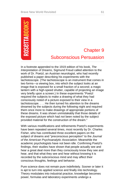# **LOSETTABOI**

### Chapter 9 Subconscious Persuasion

In a footnote appended to the 1919 edition of his book, *The Interpretation of Dreams*, Sigmund Freud called attention to the work of Dr. Poetzl, an Austrian neurologist, who had recently published a paper describing his experiments with the tachistoscope. (The tachistoscope is an instrument that comes in two forms—a viewing box, into which the subject looks at an image that is exposed for a small fraction of a second; a magic lantern with a high-speed shutter, capable of projecting an image very briefly upon a screen.) In these experiments "Poetzl required the subjects to make a drawing of what they had consciously noted of a picture exposed to their view in a tachistoscope. . . . He then turned his attention to the dreams dreamed by the subjects during the following night and required them once more to make drawings of appropriate portions of these dreams. It was shown unmistakably that those details of the exposed picture which had *not* been noted by the subject provided material for the construction of the dream."

With various modifications and refinements Poetzl's experiments have been repeated several times, most recently by Dr. Charles Fisher, who has contributed three excellent papers on the subject of dreams and "preconscious perception" to the *Journal of the American Psychoanalytic Association*. Meanwhile the academic psychologists have not been idle. Confirming Poetzl's findings, their studies have shown that people actually see and hear a great deal more than they consciously know they see and hear, and that what they see and hear without knowing it is recorded by the subconscious mind and may affect their conscious thoughts, feelings and behavior.

Pure science does not remain pure indefinitely. Sooner or later it is apt to turn into applied science and finally into technology. Theory modulates into industrial practice, knowledge becomes power, formulas and laboratory experiments undergo a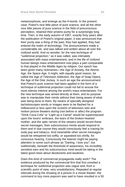metamorphosis, and emerge as the H-bomb. In the present case, Poetzl's nice little piece of pure science, and all the other nice little pieces of pure science in the field of preconscious perception, retained their pristine purity for a surprisingly long time. Then, in the early autumn of 1957, exactly forty years after the publication of Poetzl's original paper, it was announced that their purity was a thing of the past; they had applied, they had entered the realm of technology. The announcement made a considerable stir, and was talked and written about all over the civilized world. And no wonder; for the new technique of "subliminal projection," as it was called, was intimately associated with mass entertainment, and in the life of civilized human beings mass entertainment now plays a part comparable to that played in the Middle Ages by religion. Our epoch has been given many nicknames—the Age of Anxiety, the Atomic Age, the Space Age. It might, with equally good reason, be called the Age of Television Addiction, the Age of Soap Opera, the Age of the Disk Jockey. In such an age the announcement that Poetzl's pure science had been applied in the form of a technique of subliminal projection could not fail to arouse the most intense interest among the world's mass entertainees. For the new technique was aimed directly at them, and its purpose was to manipulate their minds without their being aware of what was being done to them. By means of specially designed tachistoscopes words or images were to be flashed for a millisecond or less upon the screens of television sets and motion picture theaters *during* (not before or after) the program. "Drink Coca-Cola" or "Light up a Camel" would be superimposed upon the lovers' embrace, the tears of the broken-hearted mother, and the optic nerves of the viewers would record these secret messages, their subconscious minds would respond to them and in due course they would consciously feel a craving for soda pop and tobacco. And meanwhile other secret messages would be whispered too softly, or squeaked too shrilly, for conscious hearing. Consciously the listener might be paying attention to some such phrase as "Darling, I love you"; but subliminally, beneath the threshold of awareness, his incredibly sensitive ears and his subconscious mind would be taking in the latest good news about deodorants and laxatives.

Does this kind of commercial propaganda really work? The evidence produced by the commercial firm that first unveiled a technique for subliminal projection was vague and, from a scientific point of view, very unsatisfactory. Repeated at regular intervals during the showing of a picture in a movie theater, the command to buy more popcorn was said to have resulted in a 50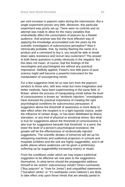per cent increase in popcorn sales during the intermission. But a single experiment proves very little. Moreover, this particular experiment was poorly set up. There were no controls and no attempt was made to allow for the many variables that undoubtedly affect the consumption of popcorn by a theater audience. And anyhow was this the most effective way of applying the knowledge accumulated over the years by the scientific investigators of subconscious perception? Was it intrinsically probable, that, by merely flashing the name of a product and a command to buy it, you would be able to break down sales resistance and recruit new customers? The answer to both these questions is pretty obviously in the negative. But this does not mean, of course, that the findings of the neurologists and psychologists are without any practical importance. Skillfully applied, Poetzl's nice little piece of pure science might well become a powerful instrument for the manipulation of unsuspecting minds.

For a few suggestive hints let us now turn from the popcorn vendors to those who, with less noise but more imagination and better methods, have been experimenting in the same field. In Britain, where the process of manipulating minds below the level of consciousness is known as "strobonic injection," investigators have stressed the practical importance of creating the right psychological conditions for subconscious persuasion. A suggestion above the threshold of awareness is more likely to take effect when the recipient is in a light hypnotic trance, under the influence of certain drugs, or has been debilitated by illness, starvation, or any kind of physical or emotional stress. But what is true for suggestions above the threshold of consciousness is also true for suggestions beneath that threshold. In a word, the lower the level of a person's psychological resistance, the greater will be the effectiveness of strobonically injected suggestions. The scientific dictator of tomorrow will set up his whispering machines and subliminal projectors in schools and hospitals (children and the sick are highly suggestible), and in all public places where audiences can be given a preliminary softening up by suggestibility-increasing oratory or rituals.

From the conditions under which we may expect subliminal suggestion to be effective we now pass to the suggestions themselves. In what terms should the propagandist address himself to his victims' subconscious minds? Direct commands ("Buy popcorn" or "Vote for Jones") and unqualified statements ("Socialism stinks" or "X's toothpaste cures halitosis") are likely to take effect only upon those minds that are already partial to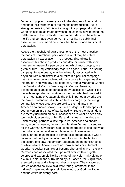Jones and popcorn, already alive to the dangers of body odors and the public ownership of the means of production. But to strengthen existing faith is not enough; the propagandist, if he is worth his salt, must create new faith, must know how to bring the indifferent and the undecided over to his side, must be able to mollify and perhaps even convert the hostile. To subliminal assertion and command he knows that he must add subliminal persuasion.

Above the threshold of awareness, one of the most effective methods of non-rational persuasion is what may be called persuasion-by-association. The propagandist arbitrarily associates his chosen product, candidate or cause with some idea, some image of a person or thing which most people, in a given culture, unquestioningly regard as good. Thus, in a selling campaign female beauty may be arbitrarily associated with anything from a bulldozer to a diuretic; in a political campaign patriotism may be associated with any cause from *apartheid* to integration, and with any kind of person, from a Mahatma Gandhi to a Senator McCarthy. Years ago, in Central America, I observed an example of persuasion-by-association which filled me with an appalled admiration for the men who had devised it. In the mountains of Guatemala the only imported art works are the colored calendars, distributed free of charge by the foreign companies whose products are sold to the Indians. The American calendars showed pictures of dogs, of landscapes, of young women in a state of partial nudity. But to the Indian dogs are merely utilitarian objects, landscapes are what he sees only too much of, every day of his life, and half-naked blondes are uninteresting, perhaps a little repulsive. American calendars were, in consequence, far less popular than German calendars; for the German advertisers had taken the trouble to find out what the Indians valued and were interested in. I remember in particular one masterpiece of commercial propaganda. It was a calendar put out by a manufacturer of aspirin. At the bottom of the picture one saw the familiar trademark on the familiar bottle of white tablets. Above it were no snow scenes or autumnal woods, no cocker spaniels or bosomy chorus girls. No—the wily Germans had associated their pain-relievers with a brightly colored and extremely lifelike picture of the Holy Trinity sitting on a cumulus cloud and surrounded by St. Joseph, the Virgin Mary, assorted saints and a large number of angels. The miraculous virtues of acetyl salicylic acid were thus guaranteed, in the Indians' simple and deeply religious minds, by God the Father and the entire heavenly host.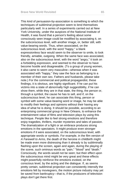This kind of persuasion-by-association is something to which the techniques of subliminal projection seem to lend themselves particularly well. In a series of experiments carried out at New York University, under the auspices of the National Institute of Health, it was found that a person's feeling about some consciously seen image could be modified by associating it, on the subconscious level, with another image, or, better still, with value-bearing words. Thus, when associated, on the subconscious level, with the word "happy," a blank expressionless face would seem to the observer to smile, to look friendly, amiable, outgoing. When the same face was associated, also on the subconscious level, with the word "angry," it took on a forbidding expression, and seemed to the observer to have become hostile and disagreeable. (To a group of young women, it also came to seem very masculine—whereas when it was associated with "happy," they saw the face as belonging to a member of their own sex. Fathers and husbands, please take note.) For the commercial and political propagandist, these findings, it is obvious, are highly significant. If he can put his victims into a state of abnormally high suggestibility, if he can show them, while they are in that state, the thing, the person or, through a symbol, the cause he has to sell, and if, on the subconscious level, he can associate this thing, person or symbol with some value-bearing word or image, he may be able to modify their feelings and opinions without their having any idea of what he is doing. It should be possible, according to an enterprising commercial group in New Orleans, to enhance the entertainment value of films and television plays by using this technique. People like to feel strong emotions and therefore enjoy tragedies, thrillers, murder mysteries and tales of passion. The dramatization of a fight or an embrace produces strong emotions in the spectators. It might produce even stronger emotions if it were associated, on the subconscious level, with appropriate words or symbols. For example, in the film version of *A Farewell to Arms*, the death of the heroine in childbirth might be made even more distressing than it already is by subliminally flashing upon the screen, again and again, during the playing of the scene, such ominous words as "pain," "blood" and "death." Consciously, the words would not be seen; but their effect upon the subconscious mind might be very great and these effects might powerfully reinforce the emotions evoked, on the conscious level, by the acting and the dialogue. If, as seems pretty certain, subliminal projection can consistently intensify the emotions felt by moviegoers, the motion picture industry may yet be saved from bankruptcy—that is, if the producers of television plays don't get there first.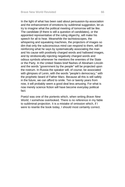In the light of what has been said about persuasion-by-association and the enhancement of emotions by subliminal suggestion, let us try to imagine what the political meeting of tomorrow will be like. The candidate (if there is still a question of candidates), or the appointed representative of the ruling oligarchy, will make his speech for all to hear. Meanwhile the tachistoscopes, the whispering and squeaking machines, the projectors of images so dim that only the subconscious mind can respond to them, will be reinforcing what he says by systematically associating the man and his cause with positively charged words and hallowed images, and by strobonically injecting negatively charged words and odious symbols whenever he mentions the enemies of the State or the Party. In the United States brief flashes of Abraham Lincoln and the words "government by the people" will be projected upon the rostrum. In Russia the speaker will, of course, be associated with glimpses of Lenin, with the words "people's democracy," with the prophetic beard of Father Marx. Because all this is still safely in the future, we can afford to smile. Ten or twenty years from now, it will probably seem a good deal less amusing. For what is now merely science fiction will have become everyday political fact.

Poetzl was one of the portents which, when writing *Brave New World*, I somehow overlooked. There is no reference in my fable to subliminal projection. It is a mistake of omission which, if I were to rewrite the book today, I should most certainly correct.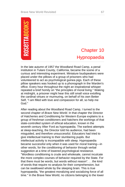### **NALL3SOX**

### Chapter 10 Hypnopaedia

In the late autumn of 1957 the Woodland Road Camp, a penal institution in Tulare County, California, became the scene of a curious and interesting experiment. Miniature loudspeakers were placed under the pillows of a group of prisoners who had volunteered to act as psychological guinea pigs. Each of these pillow speakers was hooked up to a phonograph in the Warden's office. Every hour throughout the night an inspirational whisper repeated a brief homily on "the principles of moral living." Waking at midnight, a prisoner might hear this still small voice extolling the cardinal virtues or murmuring, on behalf of his own Better Self, "I am filled with love and compassion for all, so help me God."

After reading about the Woodland Road Camp, I turned to the second chapter of *Brave New World*. In that chapter the Director of Hatcheries and Conditioning for Western Europe explains to a group of freshman conditioners and hatchers the workings of that state-controlled system of ethical education, known in the seventh century After Ford as hypnopædia. The earliest attempts at sleep-teaching, the Director told his audience, had been misguided, and therefore unsuccessful. Educators had tried to give intellectual training to their slumbering pupils. But intellectual activity is incompatible with sleep. Hypnopaedia became successful only when it was used for *moral* training—in other words, for the conditioning of behavior through verbal suggestion at a time of lowered psychological resistance. "Wordless conditioning is crude and wholesale, cannot inculcate the more complex courses of behavior required by the State. For that there must be words, but words without reason". . . the kind of words that require no analysis for their comprehension, but can be swallowed whole by the sleeping brain. This is true hypnopaedia, "the greatest moralizing and socializing force of all time." In the Brave New World, no citizens belonging to the lower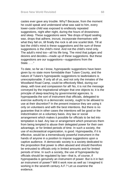castes ever gave any trouble. Why? Because, from the moment he could speak and understand what was said to him, every lower-caste child was exposed to endlessly repeated suggestions, night after night, during the hours of drowsiness and sleep. These suggestions were "like drops of liquid sealing wax, drops that adhere, incrust, incorporate themselves with what they fall on, till finally the rock is all one scarlet blob. Till at last the child's mind *is* these suggestions and the sum of these suggestions *is* the child's mind. And not the child's mind only. The adult's mind too—all his life long. The mind that judges and desires and decides—made up of these suggestions. But these suggestions are *our* suggestions—suggestions from the State. . . ."

To date, so far as I know, hypnopaedic suggestions have been given by no state more formidable than Tulare County, and the nature of Tulare's hypnopaedic suggestions to lawbreakers is unexceptionable. If only all of us, and not only the inmates of the Woodland Road Camp, could be effectively filled, during our sleep, with love and compassion for all! No, it is not the message conveyed by the inspirational whisper that one objects to; it is the principle of sleep-teaching by governmental agencies. Is hypnopaedia the sort of instrument that officials, delegated to exercise authority in a democratic society, ought to be allowed to use at their discretion? In the present instance they are using it only on volunteers and with the best intentions. But there is no guarantee that in other cases the intentions will be good or the indoctrination on a voluntary basis. Any law or social arrangement which makes it possible for officials to be led into temptation is bad. Any law or arrangement which preserves them from being tempted to abuse their delegated power for their own advantage, or for limited periods of time. In such a society, the use of ecclesiastical organization, is good. Hypnopaedia, if it is effective, would be a tremendously powerful instrument in the hands of anyone in a position to impose suggestions upon a captive audience. A democratic society is a society dedicated to the proposition that power is often abused and should therefore be entrusted to officials only in limited amounts and for limited periods of time. In such a society, the use of hypnopaedia by officials should be regulated by law—that is, of course, if hypnopaedia is genuinely an instrument of power. But is it in fact an instrument of power? Will it work now as well as I imagined it working in the seventh century A.F.? Let us examine the evidence.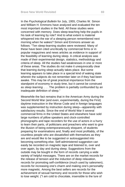In the *Psychological Bulletin* for July, 1955, Charles W. Simon and William H. Emmons have analyzed and evaluated the ten most important studies in the field. All these studies were concerned with memory. Does sleep-teaching help the pupils in his task of learning by rote? And to what extent is material whispered into the ear of a sleeping person remembered next morning when he wakes? Simon and Emmons answer as follows: "Ten sleep-learning studies were reviewed. Many of these have been cited uncritically by commercial firms or in popular magazines and news articles as evidence in support of the feasibility of learning during sleep. A critical analysis was made of their experimental design, statistics, methodology and criteria of sleep. All the studies had weaknesses in one or more of these areas. The studies do not make it unequivocally clear that learning during *sleep* actually takes place. But some learning appears to take place in a special kind of waking state wherein the subjects do not remember later on if they had been awake. This may be of great practical importance from the standpoint of economy in study time, but it cannot be construed as *sleep learning*. . . . The problem is partially confounded by an inadequate definition of sleep."

Meanwhile the fact remains that in the American Army during the Second World War (and even, experimentally, during the First) daytime instruction in the Morse Code and in foreign languages was supplemented by instruction during sleep—apparently with satisfactory results. Since the end of World War II several commercial firms in the United States and elsewhere have sold large numbers of pillow speakers and clock-controlled phonographs and tape recorders for the use of actors in a hurry to learn their parts, of politicians and preachers who want to give the illusion of being extemporaneously eloquent, of students preparing for examinations and, finally and most profitably, of the countless people who are dissatisfied with themselves as they are and would like to be suggested or autosuggested into becoming something else. Self-administered suggestion can easily be recorded on magnetic tape and listened to, over and over again, by day and during sleep. Suggestions from the outside may be bought in the form of records carrying a wide variety of helpful messages. There are on the market records for the release of tension and the induction of deep relaxation, records for promoting self-confidence (much used by salesmen), records for increasing one's charm and making one's personality more magnetic. Among the best sellers are records for the achievement of sexual harmony and records for those who wish to lose weight. ("I am cold to chocolate, insensible to the lure of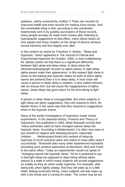potatoes, utterly unmoved by muffins.") There are records for improved health and even records for making more money. And the remarkable thing is that, according to the unsolicited testimonials sent in by grateful purchasers of these records, many people actually do make more money after listening to hypnopaedic suggestions to that effect, many obese ladies do lose weight and many couples on the verge of divorce achieve sexual harmony and live happily ever after.

In this context an article by Theodore X. Barber, "Sleep and Hypnosis," which appeared in *The Journal of Clinical and Experimental Hypnosis* for October, 1956, is most enlightening. Mr. Barber points out that there is a significant difference between light sleep and deep sleep. In deep sleep the electroencephalograph records no alpha waves; in light sleep alpha waves make their appearance. In this respect light sleep is closer to the waking and hypnotic states (in both of which alpha waves are present) than it is to deep sleep. A loud noise will cause a person in deep sleep to awaken. A less violent stimulus will not arouse him, but will cause the reappearance of alpha waves. Deep sleep has given place for the time being to light sleep.

A person in deep sleep is unsuggestible. But when subjects in light sleep are given suggestions, they will respond to them, Mr. Barber found, in the same way that they respond to suggestions when in the hypnotic trance.

Many of the earlier investigators of hypnotism made similar experiments. In his classical *History, Practice and Theory of Hypnotism*, first published in 1903, Milne Branwell records that "many authorities claim to have changed natural sleep into hypnotic sleep. According to Wetterstrand, it is often very easy to put oneself *en rapport* with sleeping persons, especially children. . . . Wetterstrand thinks this method of inducing hypnosis of much practical value and claims to have often used it successfully." Bramwell cites many other experienced hypnotists (including such eminent authorities as Bernheim, Moll and Forel) to the same effect. Today an experimenter would not speak of "changing natural into hypnotic sleep." All he is prepared to say is that light sleep (as opposed to deep sleep without alpha waves) is a state in which many subjects will accept suggestions as readily as they do when under hypnosis. For example, after being told, when lightly asleep, that they will wake up in a little while, feeling extremely thirsty, many subjects will duly wake up with a dry throat and a craving for water. The cortex may be too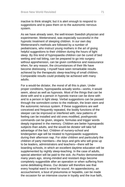inactive to think straight; but it is alert enough to respond to suggestions and to pass them on to the autonomic nervous system.

As we have already seen, the well-known Swedish physician and experimenter, Wetterstrand, was especially successful in the hypnotic treatment of sleeping children. In our own day Wetterstrand's methods are followed by a number of pediatricians, who instruct young mothers in the art of giving helpful suggestions to their children during the hours of light sleep. By this kind of hypnopaedia children can be cured of bed wetting and nail biting, can be prepared to go into surgery without apprehension, can be given confidence and reassurance when, for any reason, the circumstances of their life have become distressing. I myself have seen remarkable results achieved by the therapeutic sleep-teaching of small children. Comparable results could probably be achieved with many adults.

For a would-be dictator, the moral of all this is plain. Under proper conditions, hypnopaedia actually works—works, it would seem, about as well as hypnosis. Most of the things that can be done with and to a person in hypnotic trance can be done with and to a person in light sleep. Verbal suggestions can be passed through the somnolent cortex to the midbrain, the brain stem and the autonomic nervous system. If these suggestions are well conceived and frequently repeated, the bodily functions of the sleeper can be improved or interfered with, new patterns of feeling can be installed and old ones modified, posthypnotic commands can be given, slogans, formulas and trigger words deeply ingrained in the memory. Children are better hypnopaedic subjects than adults, and the would-be dictator will take full advantage of the fact. Children of nursery-school and kindergarten age will be treated to hypnopaedic suggestions during their afternoon nap. For older children and particularly the children of party members—the boys and girls who will grow up to be leaders, administrators and teachers—there will be boarding schools, in which an excellent daytime education will be supplemented by nightly sleep-teaching. In the case of adults, special attention will be paid to the sick. As Pavlov demonstrated many years ago, strong-minded and resistant dogs become completely suggestible after an operation or when suffering from some debilitating illness. Our dictator will therefore see that every hospital ward is wired for sound. An appendectomy, an accouchement, a bout of pneumonia or hepatitis, can be made the occasion for an intensive course in loyalty and the true faith,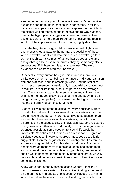a refresher in the principles of the local ideology. Other captive audiences can be found in prisons, in labor camps, in military barracks, on ships at sea, on trains and airplanes in the night, in the dismal waiting rooms of bus terminals and railway stations. Even if the hypnopaedic suggestions given to these captive audiences were no more than 10 per cent effective, the results would still be impressive and, for a dictator, highly desirable.

From the heightened suggestibility associated with light sleep and hypnosis let us pass to the normal suggestibility of those who are awake—or at least who think they are awake. (In fact, as the Buddhists insist, most of us are half asleep all the time and go through life as somnambulists obeying somebody else's suggestions. Enlightenment is total awakeness. The word "Buddha" can be translated as "The Wake.")

Genetically, every human being is unique and in many ways unlike every other human being. The range of individual variation from the statistical norm is amazingly wide. And the statistical norm, let us remember, is useful only in actuarial calculation, not in real life. In real life there is no such person as the average man. There are only particular men, women and children, each with his or her inborn idiosyncrasies of mind and body, and all trying (or being compelled) to squeeze their biological diversities into the uniformity of some cultural mold.

Suggestibility is one of the qualities that vary significantly from individual to individual. Environmental factors certainly play their part in making one person more responsive to suggestion than another; but there are also, no less certainly, constitutional differences in the suggestibility of individuals. Extreme resistance to suggestion is rather rare. Fortunately so. For if everyone were as unsuggestible as some people are, social life would be impossible. Societies can function with a reasonable degree of efficiency because, in varying degrees, most people are fairly suggestible. Extreme suggestibility is probably about as rare as extreme unsuggestibility. And this also is fortunate. For if most people were as responsive to outside suggestions as the men and women at the extreme limits of suggestibility, free, rational choice would become, for the majority of the electorate, virtually impossible, and democratic institutions could not survive, or even come into existence.

A few years ago, at the Massachussetts General Hospital, a group of researchers carried out a most illuminating experiment on the pain-relieving effects of placebos. (A placebo is anything which the patient believes to be an active drug, but which in fact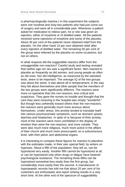is pharmacologically inactive.) In this experiment the subjects were one hundred and sixty-two patients who had just come out of surgery and were all in considerable pain. Whenever a patient asked for medication to relieve pain, he or she was given an injection, either of morphine or of distilled water. All the patients received some injections of morphine and some of the placebo. About 30 per cent of the patients never obtained relief from the placebo. On the other hand 14 per cent obtained relief after *every* injection of distilled water. The remaining 55 per cent of the group were relieved by the placebo on some occasions, but not on others.

In what respects did the suggestible reactors differ from the unsuggestible non-reactors? Careful study and testing revealed that neither age nor sex was a significant factor. Men reacted to placebo as frequently as did women, and young people as often as old ones. Nor did intelligence, as measured by the standard tests, seem to be important. The average IQ of the two groups was about the same. It was above all in temperament, in the way they felt about themselves and other people that the members of the two groups were significantly different. The reactors were more co-operative than the non-reactors, less critical and suspicious. They gave the nurses no trouble and thought that the care they were receiving in the hospital was simply "wonderful." But though less unfriendly toward others than the non-reactors, the reactors were generally much more anxious about themselves. Under stress, this anxiety tended to translate itself into various psychosomatic symptoms, such as stomach upsets, diarrhea and headaches. In spite of or because of their anxiety, most of the reactors were more uninhibited in the display of emotion than were the non-reactors, and more voluble. They were also much more religious, much more active in the affairs of their church and much more preoccupied, on a subconscious level, with their pelvic and abdominal organs.

It is interesting to compare these figures for reaction to placebos with the estimates made, in their own special field, by writers on hypnosis. About a fifth of the population, they tell us, can be hypnotized very easily. Another fifth cannot be hypnotized at all, or can be hypnotized only when drugs or fatigue have lowered psychological resistance. The remaining three-fifths can be hypnotized somewhat less easily than the first group, but considerably more easily than the second. A manufacturer of hypnopaedic records has told me that about 20 per cent of his customers are enthusiastic and report striking results in a very short time. At the other end of the spectrum of suggestibility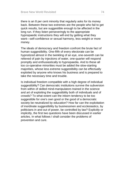there is an 8 per cent minority that regularly asks for its money back. Between these two extremes are the people who fail to get quick results, but are suggestible enough to be affected in the long run. If they listen perseveringly to the appropriate hypnopaedic instructions they will end by getting what they want—self-confidence or sexual harmony, less weight or more money.

The ideals of democracy and freedom confront the brute fact of human suggestibility. One-fifth of every electorate can be hypnotized almost in the twinkling of an eye, one-seventh can be relieved of pain by injections of water, one-quarter will respond promptly and enthusiastically to hypnopaedia. And to these all too co-operative minorities must be added the slow-starting majorities, whose less extreme suggestibility can be effectually exploited by anyone who knows his business and is prepared to take the necessary time and trouble.

Is individual freedom compatible with a high degree of individual suggestibility? Can democratic institutions survive the subversion from within of skilled mind-manipulators trained in the science and art of exploiting the suggestibility both of individuals and of crowds? To what extent can the inborn tendency to be too suggestible for one's own good or the good of a democratic society be neutralized by education? How far can the exploitation of inordinate suggestibility by businessmen and ecclesiastics, by politicians in and out of power, be controlled by law? Explicitly or implicitly, the first two questions have been discussed in earlier articles. In what follows I shall consider the problems of prevention and cure.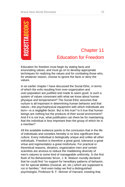# **!OSETTABO**

## Chapter 11 Education for Freedom

Education for freedom must begin by stating facts and enunciating values, and must go on to develop appropriate techniques for realizing the values and for combating those who, for whatever reason, choose to ignore the facts or deny the values.

In an earlier chapter I have discussed the Social Ethic, in terms of which the evils resulting from over-organization and over-population are justified and made to seem good. Is such a system of values consonant with what we know about human physique and temperament? The Social Ethic assumes that nurture is all-important in determining human behavior and that nature—the psychophysical equipment with which individuals are born—is a negligible factor. But is this true? Is it true that human beings are nothing but the products of their social environment? And if it is not true, what justification can there be for maintaining that the individual is less important than the group of which he is a member?

All the available evidence points to the conclusion that in the life of individuals and societies heredity is no less significant than culture. Every individual is biologically unique and unlike all other individuals. Freedom is therefore a great good, tolerance a great virtue and regimentation a great misfortune. For practical or theoretical reasons, dictators, organization men and certain scientists are anxious to reduce the maddening diversity of men's natures to some kind of manageable uniformity. In the first flush of his Behavioristic fervor, J. B. Watson roundly declared that he could find "no support for hereditary patterns of behavior, nor for special abilities (musical, art, etc.) which are supposed to run in families." And even today we find a distinguished psychologist, Professor B. F. Skinner of Harvard, insisting that,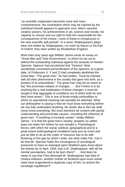"as scientific explanation becomes more and more comprehensive, the contribution which may be claimed by the individual himself appears to approach zero. Man's vaunted creative powers, his achievements in art, science and morals, his capacity to choose and our right to hold him responsible for the consequences of his choice—none of these is conspicuous in the new scientific self-portrait." In a word, Shakespeare's plays were not written by Shakespeare, nor even by Bacon or the Earl of Oxford; they were written by Elizabethan England.

More than sixty years ago William James wrote an essay on "Great Men and Their Environment," in which he set out to defend the outstanding individual against the assaults of Herbert Spencer. Spencer had proclaimed that "Science" (that wonderfully convenient personification of the opinions, at a given date, of Professors X, Y and Z) had completely abolished the Great Man. "The great man," he had written, "must be classed with all other phenomena in the society that gave him birth, as a product of its antecedents." The great man may be (or seem to be) "the proximate initiator of changes. . . . But if there is to be anything like a real explanation of these changes, it must be sought in that aggregate of conditions out of which both he and they have arisen." This is one of those empty profundities to which no operational meaning can possibly be attached. What our philosopher is saying is that we must know everything before we can fully understand anything. No doubt. But in fact we shall never know everything. We must therefore be content with partial understanding and proximate causes—including the influence of great men. "If anything is humanly certain," writes William James, "it is that the great man's society, properly so called, does not make him before he can remake it. Physiological forces, with which the social, political, geographical and to a great extent anthropological conditions have just as much and just as little to do as the crater of Vesuvius has to do with flickering of this gas by which I write, are what make him. Can it be that Mr. Spencer holds the convergence of sociological pressures to have so impinged upon Stratford-upon-Avon about the twenty-six of April, 1564, that a W. Shakespeare, with all his mental peculiarities, had to be born there? . . . And does he mean to say that if the aforesaid W. Shakespeare had died of cholera infantum, another mother at Stratford-upon-Avon would need have engendered a duplicate copy of him, to restore the sociologic equilibrium?"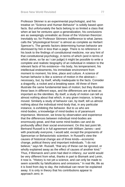Professor Skinner is an experimental psychologist, and his treatise on "Science and Human Behavior" is solidly based upon facts. But unfortunately the facts belong to so limited a class that when at last he ventures upon a generalization, his conclusions are as sweepingly unrealistic as those of the Victorian theorizer. Inevitably so; for Professor Skinners indifference to what James calls the "physiological forces" is almost as complete as Herbert Spencer's. The genetic factors determining human behavior are dismissed by him in less than a page. There is no reference in his book to the findings of constitutional medicine, nor any hint of that constitutional psychology, in terms of which (and in terms of which alone, so far as I can judge) it might be possible to write a complete and realistic biography of an individual in relation to the relevant facts of his existence—his body, his temperament, his intellectual endowments, his immediate environment from moment to moment, his time, place and culture. A science of human behavior is like a science of motion in the abstract necessary, but, by itself, wholly inadequate to the facts. Consider a dragonfly, a rocket and a breaking wave. All three of them illustrate the same fundamental laws of motion; but they illustrate these laws in different ways, and the differences are at least as important as the identities. By itself, a study of motion can tell us almost nothing about that which, in any given instance, is being moved. Similarly a study of behavior can, by itself, tell us almost nothing about the individual mind-body that, in any particular instance, is exhibiting the behavior. But to us who are mind-bodies, a knowledge of mind-bodies is of paramount importance. Moreover, we know by observation and experience that the differences between individual mind-bodies are enormously great, and that some mind-bodies can and do profoundly affect their social environment. On this last point Mr. Bertrand Russell is in full agreement with William James—and with practically everyone, I would add, except the proponents of Spencerian or Behavioristic scientism. In Russell's view the causes of historical change are of three kinds—economic change, political theory and important individuals. "I do not believe," says Mr. Russell, "that any of these can be ignored, or wholly explained away as the effect of causes of another kind." Thus, if Bismarck and Lenin had died in infancy, our world would be very different from what, thanks in part to Bismark and Lenin, it now is. "History is not yet a science, and can only be made to seem scientific by falsifications and omissions." In real life, life as it is lived from day to day, the individual can never be explained away. It is only in theory that his contributions appear to approach zero; in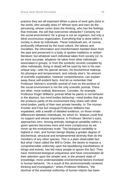practice they are all-important When a piece of work gets done in the world, who actually does it? Whose eyes and ears do the perceiving, whose cortex does the thinking, who has the feelings that motivate, the will that overcomes obstacles? Certainly not the social environment; for a group is not an organism, but only a blind unconscious organization. Everything that is done within a society is done by individuals. These individuals are, of course, profoundly influenced by the local culture, the taboos and moralities, the information and misinformation handed down from the past and preserved in a body of spoken traditions or written literature; but whatever each individual takes from society (or, to be more accurate, whatever he takes from other individuals associated in groups, or from the symbolic records compiled by other individuals, living or dead) will be used by him in his own unique way—with *his* special senses, *his* biochemical makeup, *his* physique and temperament, and nobody else's. No amount of scientific explanation, however comprehensive, can explain away these self-evident facts. And let us remember that Professor Skinner's scientific portrait of man as the product of the social environment is not the only scientific portrait. There are other, more realistic likenesses. Consider, for example, Professor Roger Williams' portrait What he paints is not behavior in the abstract, but mind-bodies behaving—mind-bodies that are the products partly of the environment they share with other mind-bodies, partly of their own private heredity. In *The Human Frontier* and Free *but Unequal* Professor Williams has expatiated, with a wealth of detailed evidence, on those innate differences between individuals, for which Dr. Watson could find no support and whose importance, in Professor Skinner's eyes, approaches zero. Among animals, biological variability within a given species becomes more and more conspicuous as we move up the evolutionary scale. This biological variability is highest in man, and human beings display a greater degree of biochemical, structural and temperamental diversity than do the members of any other species. This is a plain observable fact. But what I have called the Will to Order, the desire to impose a comprehensible uniformity upon the bewildering manifoldness of things and events, has led many people to ignore this fact. They have minimized biological uniqueness and have concentrated all their attention upon the simpler and, in the present state of knowledge, more understandable environmental factors involved in human behavior. "As a result of this environmentally centered thinking and investigation," writes Professor Williams, "the doctrine of the essential uniformity of human infants has been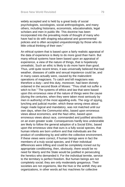widely accepted and is held by a great body of social psychologists, sociologists, social anthropologists, and many others, including historians, economists, educationalists, legal scholars and men in public life. This doctrine has been incorporated into the prevailing mode of thought of many who have had to do with shaping educational and governmental policies and is often accepted unquestioningly by those who do little critical thinking of their own."

An ethical system that is based upon a fairly realistic appraisal of the data of experience is likely to do more good than harm. But many ethical systems have been based upon an appraisal of experience, a view of the nature of things, that is hopelessly unrealistic. Such an ethic is likely to do more harm than good. Thus, until quite recent times, it was universally believed that bad weather, diseases of cattle and sexual impotence could be, and in many cases actually were, caused by the malevolent operations of magicians. To catch and kill magicians was therefore a duty—and this duty, moreover, had been divinely ordained in the second Book of Moses: "Thou shalt not suffer a witch to live." The systems of ethics and law that were based upon this erroneous view of the nature of things were the cause (during the centuries, when they were taken most seriously by men in authority) of the most appalling evils. The orgy of spying, lynching and judicial murder, which these wrong views about magic made logical and mandatory, was not matched until our own days, when the Communist ethic, based upon erroneous views about economics, and the Nazi ethic, based upon erroneous views about race, commanded and justified atrocities on an even greater scale. Consequences hardly less undesirable are likely to follow the general adoption of a Social Ethic, based upon the erroneous view that ours is a fully social species, that human infants are born uniform and that individuals are the product of conditioning by and within the collective environment. If these views were correct, if human beings were in fact the members of a truly social species, and if their individual differences were trifling and could be completely ironed out by appropriate conditioning, then, obviously, there would be no need for liberty and the State would be justified in persecuting the heretics who demanded it. For the individual termite, service to the termitary is perfect freedom. But human beings are not completely social; they are only moderately gregarious. Their societies are not organisms, like the hive or the anthill; they are organizations, in other words *ad hoc* machines for collective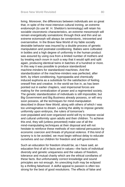living. Moreover, the differences between individuals are so great that, in spite of the most intensive cultural ironing, an extreme endomorph (to use W. H. Sheldon's terminology) will retain his sociable viscerotonic characteristics, an extreme mesomorph will remain energetically somatotonic through thick and thin and an extreme ectomorph will always be cerebrotonic, introverted and oversensitive. In the Brave New World of my fable socially desirable behavior was insured by a double process of genetic manipulation and postnatal conditioning. Babies were cultivated in bottles and a high degree of uniformity in the human product was assured by using ova from a limited number of mothers and by treating each ovum in such a way that it would split and split again, producing identical twins in batches of a hundred or more. In this way it was possible to produce standardized machine-minders for standardized machines. And the standardization of the machine-minders was perfected, after birth, by infant conditioning, hypnopaedia and chemically induced euphoria as a substitute for the satisfaction of feeling oneself free and creative. In the world we live in, as has been pointed out in earlier chapters, vast impersonal forces are making for the centralization of power and a regimented society. The genetic standardization of individuals is still impossible; but Big Government and Big Business already possess, or will very soon possess, all the techniques for mind-manipulation described in *Brave New World*, along with others of which I was too unimaginative to dream. Lacking the ability to impose genetic uniformity upon embryos, the rulers of tomorrow's over-populated and over-organized world will try to impose social and cultural uniformity upon adults and their children. To achieve this end, they will (unless prevented) make use of all the mind-manipulating techniques at their disposal and will not hesitate to reinforce these methods of non-rational persuasion by economic coercion and threats of physical violence. If this kind of tyranny is to be avoided, we must begin without delay to educate ourselves and our children for freedom and self-government.

Such an education for freedom should be, as I have said, an education first of all in facts and in values—the facts of individual diversity and genetic uniqueness and the values of freedom, tolerance and mutual charity which are the ethical corollaries of these facts. But unfortunately correct knowledge and sound principles are not enough. An unexciting truth may be eclipsed by a thrilling falsehood. A skilful appeal to passion is often too strong for the best of good resolutions. The effects of false and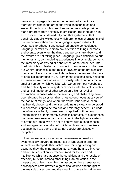pernicious propaganda cannot be neutralized except by a thorough training in the art of analyzing its techniques and seeing through its sophistries. Language has made possible man's progress from animality to civilization. But language has also inspired that sustained folly and that systematic, that genuinely diabolic wickedness which are no less characteristic of human behavior than are the language inspired virtues of systematic forethought and sustained angelic benevolence. Language permits its users to pay attention to things, persons and events, even when the things and persons are absent and the events are not taking place. Language gives definition to our memories and, by translating experiences into symbols, converts the immediacy of craving or abhorrence, of hatred or love, into fixed principles of feeling and conduct. In some way of which we are wholly unconscious, the reticular system of the brain selects from a countless host of stimuli those few experiences which are of practical importance to us. From these unconsciously selected experiences we more or less consciously select and abstract a smaller number, which we label with words from our vocabulary and then classify within a system at once metaphysical, scientific and ethical, made up of other words on a higher level of abstraction. In cases where the selecting and abstracting have been dictated by a system that is not too erroneous as a view of the nature of things, and where the verbal labels have been intelligently chosen and their symbolic nature clearly understood, our behavior is apt to be realistic and tolerably decent. But under the influence of badly chosen words, applied, without any understanding of their merely symbolic character, to experiences that have been selected and abstracted in the light of a system of erroneous ideas, we are apt to behave with a fiendishness and an organized stupidity, of which dumb animals (precisely because they *are* dumb and cannot speak) are blessedly incapable.

In their anti-rational propaganda the enemies of freedom systematically pervert the resources of language in order to wheedle or stampede their victims into thinking, feeling and acting as they, the mind-manipulators, want them to think, feel and act. An education for freedom (and for the love and intelligence which are at once the conditions and the results of freedom) must be, among other things, an education in the proper uses of language. For the last two or three generations philosophers have devoted a great deal of time and thought to the analysis of symbols and the meaning of meaning. How are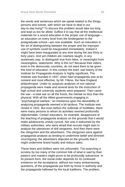the words and sentences which we speak related to the things, persons and events, with which we have to deal in our day-to-day living? To discuss this problem would take too long and lead us too far afield. Suffice it to say that all the intellectual materials for a sound education in the proper use of language an education on every level from the kindergarten to the postgraduate school—are now available. Such an education in the art of distinguishing between the proper and the improper use of symbols could be inaugurated immediately. Indeed it might have been inaugurated at any time during the last thirty or forty years. And yet children are nowhere taught, in any systematic way, to distinguish true from false, or meaningful from meaningless, statements. Why is this so? Because their elders, even in the democratic countries, do not want them to be given this kind of education. In this context the brief, sad history of the Institute for Propaganda Analysis is highly significant. The Institute was founded in 1937, when Nazi propaganda was at its noisiest and most effective, by Mr. Filene, the New England philanthropist. Under its auspices analyses of non-rational propaganda were made and several texts for the instruction of high school and university students were prepared. Then came the war—a total war on all the fronts, the mental no less than the physical. With all the Allied governments engaging in "psychological warfare," an insistence upon the desirability of analyzing propaganda seemed a bit tactless. The Institute was closed in 1941. But even before the outbreak of hostilities, there were many persons to whom its activities seemed profoundly objectionable. Certain educators, for example, disapproved of the teaching of propaganda analysis on the grounds that it would make adolescents unduly cynical. Nor was it welcomed by the military authorities, who were afraid that recruits might start to analyze the utterances of drill sergeants. And then there were the clergymen and the advertisers. The clergymen were against propaganda analysis as tending to undermine belief and diminish churchgoing; the advertisers objected on the grounds that it might undermine brand loyalty and reduce sales.

These fears and dislikes were not unfounded. Too searching a scrutiny by too many of the common folk of what is said by their pastors and masters might prove to be profoundly subversive. In its present form, the social order depends for its continued existence on the acceptance, without too many embarrassing questions, of the propaganda put forth by those in authority and the propaganda hallowed by the local traditions. The problem,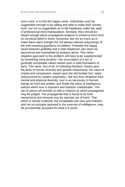once more, is to find the happy mean. Individuals must be suggestible enough to be willing and able to make their society work, but not so suggestible as to fall helplessly under the spell of professional mind-manipulators. Similarly, they should be taught enough about propaganda analysis to preserve them from an uncritical belief in sheer nonsense, but not so much as to make them reject outright the not always rational outpourings of the well-meaning guardians of tradition. Probably the happy mean between gullibility and a total skepticism can never be discovered and maintained by analysis alone. This rather negative approach to the problem will have to be supplemented by something more positive—the enunciation of a set of generally acceptable values based upon a solid foundation of facts. The value, first of all, of individual freedom, based upon the facts of human diversity and genetic uniqueness; the value of charity and compassion, based upon the old familiar fact, lately rediscovered by modern psychiatry—the fact that, whatever their mental and physical diversity, love is as necessary to human beings as food and shelter; and finally the value of intelligence, without which love is impotent and freedom unattainable. This set of values will provide us with a criterion by which propaganda may be judged. The propaganda that is found to be both nonsensical and immoral may be rejected out of hand. That which is merely irrational, but compatible with love and freedom, and not on principle opposed to the exercise of intelligence, may be provisionally accepted for what it is worth.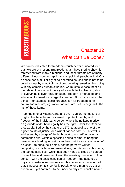# **10SetTAB**

### Chapter 12 What Can Be Done?

We can be educated for freedom—much better educated for it than we are at present. But freedom, as I have tried to show, is threatened from many directions, and these threats are of many different kinds—demographic, social, political, psychological. Our disease has a multiplicity of co-operating causes and is not to be cured except by a multiplicity of co-operating remedies. In coping with any complex human situation, we must take account of all the relevant factors, not merely of a single factor. Nothing short of everything is ever really enough. Freedom is menaced, and education for freedom is urgently needed. But so are many other things—for example, social organization for freedom, birth control for freedom, legislation for freedom. Let us begin with the last of these items.

From the time of Magna Carta and even earlier, the makers of English law have been concerned to protect the physical freedom of the individual. A person who is being kept in prison on grounds of doubtful legality has the right, under the Common Law as clarified by the statute of 1679, to appeal to one of the higher courts of justice for a writ of *habeas corpus*. This writ is addressed by a judge of the high court to a sheriff or jailer, and commands him, within a specified period of time, to bring the person he is holding in custody to the court for an examination of his case—to bring, be it noted, not the person's written complaint, nor his legal representatives, but his *corpus*, his body, the too too solid flesh which has been made to sleep on boards, to smell the fetid prison air, to eat the revolting prison food. This concern with the basic condition of freedom—the absence of physical constraint—is unquestionably necessary, but is not all that is necessary. It is perfectly possible for a man to be out of prison, and yet not free—to be under no physical constraint and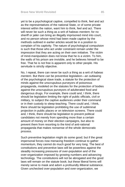yet to be a psychological captive, compelled to think, feel and act as the representatives of the national State, or of some private interest within the nation, want him to think, feel and act. There will never be such a thing as a writ of *habeas mentem*; for no sheriff or jailer can bring an illegally imprisoned mind into court, and no person whose mind had been made captive by the methods outlined in earlier articles would be in a position to complain of his captivity. The nature of psychological compulsion is such that those who act under constraint remain under the impression that they are acting on their own initiative. The victim of mind-manipulation does not know that he is a victim. To him, the walls of his prison are invisible, and he believes himself to be free. That he is not free is apparent only to other people. His servitude is strictly objective.

No, I repeat, there can never be such a thing as a writ of *habeas mentem*. But there *can* be preventive legislation—an outlawing of the psychological slave trade, a statute for the protection of minds against the unscrupulous purveyors of poisonous propaganda, modeled on the statutes for the protection of bodies against the unscrupulous purveyors of adulterated food and dangerous drugs. For example, there could and, I think, there should be legislation limiting the right of public officials, civil or military, to subject the captive audiences under their command or in their custody to sleep-teaching. There could and, I think, there should be legislation prohibiting the use of subliminal projection in public places or on television screens. There could and, I think, there should be legislation to prevent political candidates not merely from spending more than a certain amount of money on their election campaigns, but also to prevent them from resorting to the kind of anti-rational propaganda that makes nonsense of the whole democratic process.

Such preventive legislation might do some good; but if the great impersonal forces now menacing freedom continue to gather momentum, they cannot do much good for very long. The best of constitutions and preventive laws will be powerless against the steadily increasing pressures of over-population and of the over-organization imposed by growing numbers and advancing technology. The constitutions will not be abrogated and the good laws will remain on the statute book; but these liberal forms will merely serve to mask and adorn a profoundly illiberal substance. Given unchecked over-population and over-organization, we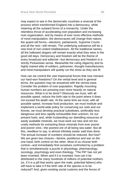may expect to see in the democratic countries a reversal of the process which transformed England into a democracy, while retaining all the outward forms of a monarchy. Under the relentless thrust of accelerating over-population and increasing over-organization, and by means of ever more effective methods of mind-manipulation, the democracies will change their nature; the quaint old forms—elections, parliaments, Supreme Courts and all the rest—will remain. The underlying substance will be a new kind of non-violent totalitarianism. All the traditional names, all the hallowed slogans will remain exactly what they were in the good old days. Democracy and freedom will be the theme of every broadcast and editorial—but democracy and freedom in a strictly Pickwickian sense. Meanwhile the ruling oligarchy and its highly trained elite of soldiers, policemen, thought-manufacturers and mind-manipulators will quietly run the show as they see fit.

How can we control the vast impersonal forces that now menace our hard-won freedoms? On the verbal level and in general terms, the question may be answered with the utmost ease. Consider the problem of over-population. Rapidly mounting human numbers are pressing ever more heavily on natural resources. What is to be done? Obviously we must, with all possible speed, reduce the birth rate to the point where it does not exceed the death rate. At the same time we must, with all possible speed, increase food production, we must institute and implement a world-wide policy for conserving our soils and our forests, we must develop practical substitutes, preferably less dangerous and less rapidly exhaustible than uranium, for our present fuels; and, while husbanding our dwindling resources of easily available minerals, we must work out new and not too costly methods for extracting these minerals from ever poorer and poorer ores—the poorest ore of all being sea water. But all this, needless to say, is almost infinitely easier said than done. The annual increase of numbers should be reduced. But how? We are given two choices—famine, pestilence and war on the one hand, birth control on the other. Most of us choose birth control—and immediately find ourselves confronted by a problem that is simultaneously a puzzle in physiology, pharmacology, sociology, psychology and even theology. "The Pill" has not yet been invented. When and if it is invented, how can it be distributed to the many hundreds of millions of potential mothers (or, if it is a pill that works upon the male, potential fathers) who will have to take it if the birth rate of the species is to be reduced? And, given existing social customs and the forces of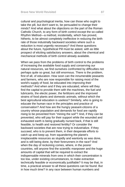cultural and psychological inertia, how can those who ought to take the pill, but don't want to, be persuaded to change their minds? And what about the objections on the part of the Roman Catholic Church, to any form of birth control except the so-called Rhythm Method—a method, incidentally, which has proved, hitherto, to be almost completely ineffective in reducing the birth rate of those industrially backward societies where such a reduction is most urgently necessary? And these questions about the future, hypothetical Pill must be asked, with as little prospect of eliciting satisfactory answers, about the chemical and mechanical methods of birth control already available.

When we pass from the problems of birth control to the problems of increasing the available food supply and conserving our natural resources, we find ourselves confronted by difficulties not perhaps quite so great, but still enormous. There is the problem, first of all, of education. How soon can the innumerable peasants and farmers, who are now responsible for raising most of the world's supply of food, be educated into improving their methods? And when and if they are educated, where will they find the capital to provide them with the machines, the fuel and lubricants, the electic power, the fertilizers and the improved strains of food plants and domestic animals, without which the best agricultural education is useless? Similarly, who is going to educate the human race in the principles and practice of conservation? And how are the hungry peasant-citizens of a country whose population and demands for food are rapidly rising to be prevented from "mining the soil"? And, if they can be prevented, who will pay for their support while the wounded and exhausted earth is being gradually nursed back, if that is still feasible, to health and restored fertility? Or consider the backward societies that are now trying to industrialize. If they succeed, who is to prevent them, in their desperate efforts to catch up and keep up, from squandering the planet's irreplaceable resources as stupidly and wantonly as was done, and is still being done, by their forerunners in the race? And when the day of reckoning comes, where, in the poorer countries, will anyone find the scientific manpower and the huge amounts of capital that will be required to extract the indispensable minerals from ores in which their concentration is too low, under existing circumstances, to make extraction technically feasible or economically justifiable? It may be that, in time, a practical answer to all these questions can be found. But in how much time? In any race between human numbers and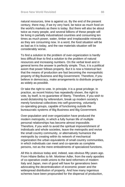natural resources, time is against us. By the end of the present century, there may, if we try very hard, be twice as much food on the world's markets as there is today. But there will also be about twice as many people, and several billions of these people will be living in partially industrialized countries and consuming ten times as much power, water, timber and irreplaceable minerals as they are consuming now. In a word, the food situation will be as bad as it is today, and the raw materials situation will be considerably worse.

To find a solution to the problem of over-organization is hardly less difficult than to find a solution to the problem of natural resources and increasing numbers. On the verbal level and in general terms the answer is perfectly simple. Thus, it is a political axiom that power follows property. But it is now a historical fact that the means of production are fast becoming the monopolistic property of Big Business and Big Government. Therefore, if you believe in democracy, make arrangements to distribute property as widely as possible.

Or take the right to vote. In principle, it is a great privilege. In practice, as recent history has repeatedly shown, the right to vote, by itself, is no guarantee of liberty. Therefore, if you wish to avoid dictatorship by referendum, break up modern society's merely functional collectives into self-governing, voluntarily co-operating groups, capable of functioning outside the bureaucratic systems of Big Business and Big Government.

Over-population and over-organization have produced the modern metropolis, in which a fully human life of multiple personal relationships has become almost impossible. Therefore, if you wish to avoid the spiritual impoverishment of individuals and whole societies, leave the metropolis and revive the small country community, or alternatively humanize the metropolis by creating within its network of mechanical organization the urban equivalents of small country communities, in which individuals can meet and co-operate as complete persons, not as the mere embodiments of specialized functions.

All this is obvious today and, indeed, was obvious fifty years ago. From Hilaire Belloc to Mr. Mortimer Adler, from the early apostles of co-operative credit unions to the land reformers of modern Italy and Japan, men of good will have for generations been advocating the decentralization of economic power and the widespread distribution of property. And how many ingenious schemes have been propounded for the dispersal of production,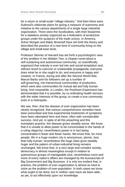for a return to small-scale "village industry." And then there were Dubreuil's elaborate plans for giving a measure of autonomy and initiative to the various departments of a single large industrial organization. There were the Syndicalists, with their blueprints for a stateless society organized as a federation of productive groups under the auspices of the trade unions. In America, Arthur Morgan and Baker Brownell have set forth the theory and described the practice of a new kind of community living on the village and small-town level.

Professor Skinner of Harvard has set forth a psychologist's view of the problem in his *Walden Two*, a Utopian novel about a self-sustaining and autonomous community, so scientifically organized that nobody is ever led into anti-social temptation and, without resort to coercion or undesirable propaganda, everyone does what he or she ought to do, and everyone is happy and creative. In France, during and after the Second World War, Marcel Barbu and his followers set up a number of self-governing, non-hierarchical communities of production, which were also communities for mutual aid and fully human living. And meanwhile, in London, the Peckham Experiment has demonstrated that it is possible, by co-ordinating health services with the wider interests of the group, to create a true community even in a metropolis.

We see, then, that the disease of over-organization has been clearly recognized, that various comprehensive remedies have been prescribed and that experimental treatments of symptoms have been attempted here and there, often with considerable success. And yet, in spite of all this preaching and this exemplary practice, the disease grows steadily worse. We know that it is unsafe to allow power to be concentrated in the hands of a ruling oligarchy; nevertheless power is in fact being concentrated in fewer and fewer hands. We know that, for most people, life in a huge modern city is anonymous, atomic, less than fully human; nevertheless the huge cities grow steadily huger and the pattern of urban-industrial living remains unchanged. We know that, in a very large and complex society, democracy is almost meaningless except in relation to autonomous groups of manageable size; nevertheless more and more of every nation's affairs are managed by the bureaucrats of Big Government and Big Business. It is only too evident that, in practice, the problem of over-organization is almost as hard to solve as the problem of over-population. In both cases we know what ought to be done; but in neither case have we been able, as yet, to act effectively upon our knowledge.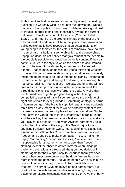At this point we find ourselves confronted by a very disquieting question: Do we really wish to act upon our knowledge? Does a majority of the population think it worth while to take a good deal of trouble, in order to halt and, if possible, reverse the current drift toward totalitarian control of everything? In the United States—and America is the prophetic image of the rest of the urban-industrial world as it will be a few years from now—recent public opinion polls have revealed that an actual majority of young people in their teens, the voters of tomorrow, have no faith in democratic institutions, see no objection to the censorship of unpopular ideas, do not believe that government of the people by the people is possible and would be perfectly content, if they can continue to live in the style to which the boom has accustomed them, to be ruled, from above, by an oligarchy of assorted experts. That so many of the well-fed young television-watchers in the world's most powerful democracy should be so completely indifferent to the idea of self-government, so blankly uninterested in freedom of thought and the right to dissent, is distressing, but not too surprising. "Free as a bird," we say, and envy the winged creatures for their power of unrestricted movement in all the three dimensions. But, alas, we forget the dodo. Any bird that has learned how to grub up a good living without being compelled to use its wings will soon renounce the privilege of flight and remain forever grounded. Something analogous is true of human beings. If the bread is supplied regularly and copiously three times a day, many of them will be perfectly content to live by bread alone—or at least by bread and circuses alone. "In the end," says the Grand Inquisitor in Dostoevsky's parable, "in the end they will lay their freedom at our feet and say to us, 'make us your slaves, but feed us.'" And when Alyosha Karamazov asks his brother, the teller of the story, if the Grand Inquisitor is speaking ironically, Ivan answers, "Not a bit of it! He claims it as a merit for himself and his Church that they have vanquished freedom and done so to make men happy." Yes, to make men happy; "for nothing," the Inquisitor insists, "has ever been more insupportable for a man or a human society than freedom." Nothing, except the absence of freedom; for when things go badly, and the rations are reduced, the grounded dodos will clamor again for their wings—only to renounce them, yet once more, when times grow better and the dodo-farmers become more lenient and generous. The young people who now think so poorly of democracy may grow up to become fighters for freedom. The cry of "Give me television and hamburgers, but don't bother me with the responsibilities of liberty," may give place, under altered circumstances, to the cry of "Give me liberty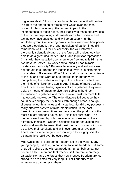or give me death." If such a revolution takes place, it will be due in part to the operation of forces over which even the most powerful rulers have very little control, in part to the incompetence of those rulers, their inability to make effective use of the mind-manipulating instruments with which science and technology have supplied, and will go on supplying, the would-be tyrant. Considering how little they knew and how poorly they were equipped, the Grand Inquisitors of earlier times did remarkably well. But their successors, the well-informed, thoroughly scientific dictators of the future will undoubtedly be able to do a great deal better. The Grand Inquisitor reproaches Christ with having called upon men to be free and tells Him that "we have corrected Thy work and founded it upon miracle, mystery and authority." But miracle, mystery and authority are not enough to guarantee the indefinite survival of a dictatorship. In my fable of *Brave New World*, the dictators had added science to the list and thus were able to enforce their authority by manipulating the bodies of embryos, the reflexes of infants and the minds of children and adults. And, instead of merely talking about miracles and hinting symbolically at mysteries, they were able, by means of drugs, to give their subjects the direct experience of mysteries and miracles—to transform mere faith into ecstatic knowledge. The older dictators fell because they could never supply their subjects with enough bread, enough circuses, enough miracles and mysteries. Nor did they possess a really effective system of mind-manipulation. In the past free-thinkers and revolutionaries were often the products of the most piously orthodox education. This is not surprising. The methods employed by orthodox educators were and still are extremely inefficient. Under a scientific dictator education will really work—with the result that most men and women will grow up to love their servitude and will never dream of revolution. There seems to be no good reason why a thoroughly scientific dictatorship should ever be overthrown.

Meanwhile there is still some freedom left in the world. Many young people, it is true, do not seem to value freedom. But some of us still believe that, without freedom, human beings cannot become fully human and that freedom is therefore supremely valuable. Perhaps the forces that now menace freedom are too strong to be resisted for very long. It is still our duty to do whatever we can to resist them.